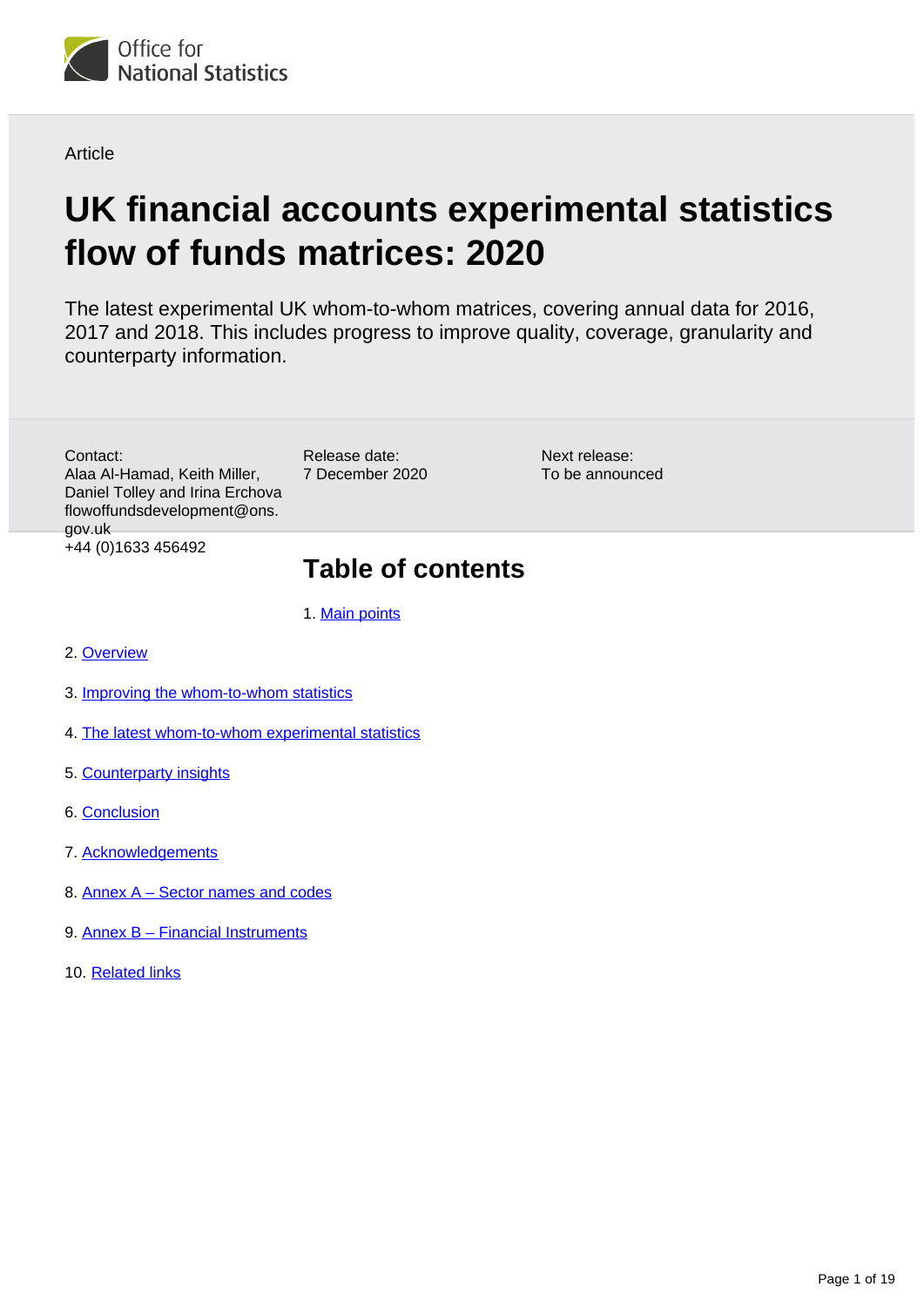

**Article** 

# **UK financial accounts experimental statistics flow of funds matrices: 2020**

The latest experimental UK whom-to-whom matrices, covering annual data for 2016, 2017 and 2018. This includes progress to improve quality, coverage, granularity and counterparty information.

Contact: Alaa Al-Hamad, Keith Miller, Daniel Tolley and Irina Erchova flowoffundsdevelopment@ons. gov.uk +44 (0)1633 456492

Release date: 7 December 2020

Next release: To be announced

# **Table of contents**

1. [Main points](#page-1-0)

- 2. [Overview](#page-1-1)
- 3. [Improving the whom-to-whom statistics](#page-3-0)
- 4. [The latest whom-to-whom experimental statistics](#page-7-0)
- 5. [Counterparty insights](#page-9-0)
- 6. [Conclusion](#page-15-0)
- 7. [Acknowledgements](#page-16-0)
- 8. [Annex A Sector names and codes](#page-17-0)
- 9. [Annex B Financial Instruments](#page-18-0)
- 10. [Related links](#page-18-1)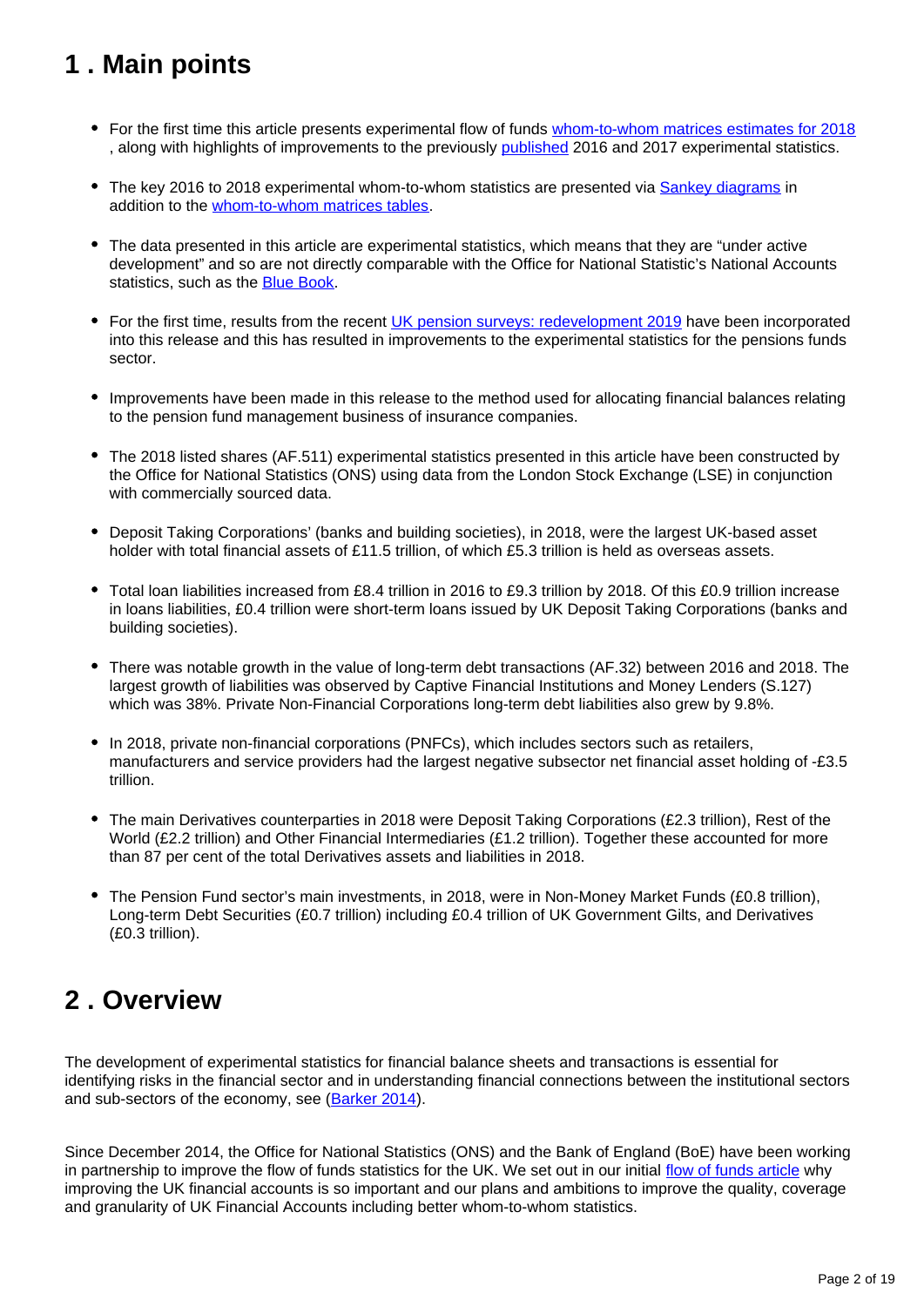# <span id="page-1-0"></span>**1 . Main points**

- For the first time this article presents experimental flow of funds [whom-to-whom matrices estimates for 2018](https://www.ons.gov.uk/economy/nationalaccounts/uksectoraccounts/datasets/ukfinancialaccountsexperimentalstatisticsflowoffundsmatricesdatatables) , along with highlights of improvements to the previously [published](https://www.ons.gov.uk/economy/nationalaccounts/uksectoraccounts/articles/ukfinancialaccountsexperimentalstatisticsflowoffundsmatrices/2019) 2016 and 2017 experimental statistics.
- The key 2016 to 2018 experimental whom-to-whom statistics are presented via [Sankey diagrams](https://www.ons.gov.uk/economy/nationalaccounts/uksectoraccounts/articles/ukfinancialaccountsexperimentalstatisticsflowoffundsmatrices/2020#the-latest-whom-to-whom-experimental-statistics) in addition to the [whom-to-whom matrices tables](https://www.ons.gov.uk/economy/nationalaccounts/uksectoraccounts/datasets/ukfinancialaccountsexperimentalstatisticsflowoffundsmatricesdatatables).
- The data presented in this article are experimental statistics, which means that they are "under active development" and so are not directly comparable with the Office for National Statistic's National Accounts statistics, such as the [Blue Book](https://www.ons.gov.uk/economy/grossdomesticproductgdp/datasets/bluebook).
- For the first time, results from the recent [UK pension surveys: redevelopment 2019](https://www.ons.gov.uk/redir/eyJhbGciOiJIUzI1NiJ9.eyJpbmRleCI6OCwicGFnZVNpemUiOjEwLCJ0ZXJtIjoiUGVuc2lvbiBzdXJ2ZXkiLCJwYWdlIjoxLCJ1cmkiOiIvZWNvbm9teS9pbnZlc3RtZW50c3BlbnNpb25zYW5kdHJ1c3RzL2FydGljbGVzL3VrcGVuc2lvbnN1cnZleXMvcmVkZXZlbG9wbWVudGFuZDIwMTlyZXN1bHRzIiwibGlzdFR5cGUiOiJzZWFyY2gifQ.33Cy7ndJMQWIQCeFZW7tw8u6XIwcz_mlI4En7z9-vsY) have been incorporated into this release and this has resulted in improvements to the experimental statistics for the pensions funds sector.
- Improvements have been made in this release to the method used for allocating financial balances relating to the pension fund management business of insurance companies.
- The 2018 listed shares (AF.511) experimental statistics presented in this article have been constructed by the Office for National Statistics (ONS) using data from the London Stock Exchange (LSE) in conjunction with commercially sourced data.
- Deposit Taking Corporations' (banks and building societies), in 2018, were the largest UK-based asset holder with total financial assets of £11.5 trillion, of which £5.3 trillion is held as overseas assets.
- Total loan liabilities increased from £8.4 trillion in 2016 to £9.3 trillion by 2018. Of this £0.9 trillion increase in loans liabilities, £0.4 trillion were short-term loans issued by UK Deposit Taking Corporations (banks and building societies).
- There was notable growth in the value of long-term debt transactions (AF.32) between 2016 and 2018. The largest growth of liabilities was observed by Captive Financial Institutions and Money Lenders (S.127) which was 38%. Private Non-Financial Corporations long-term debt liabilities also grew by 9.8%.
- In 2018, private non-financial corporations (PNFCs), which includes sectors such as retailers, manufacturers and service providers had the largest negative subsector net financial asset holding of -£3.5 trillion.
- The main Derivatives counterparties in 2018 were Deposit Taking Corporations (£2.3 trillion), Rest of the World (£2.2 trillion) and Other Financial Intermediaries (£1.2 trillion). Together these accounted for more than 87 per cent of the total Derivatives assets and liabilities in 2018.
- The Pension Fund sector's main investments, in 2018, were in Non-Money Market Funds (£0.8 trillion), Long-term Debt Securities (£0.7 trillion) including £0.4 trillion of UK Government Gilts, and Derivatives (£0.3 trillion).

# <span id="page-1-1"></span>**2 . Overview**

The development of experimental statistics for financial balance sheets and transactions is essential for identifying risks in the financial sector and in understanding financial connections between the institutional sectors and sub-sectors of the economy, see [\(Barker 2014](https://webarchive.nationalarchives.gov.uk/20160105230254/http:/www.ons.gov.uk/ons/rel/naa1-rd/national-statistics-quality-review/-nsqr--series--2--report-no--2--review-of-national-accounts-and-balance-of-payments/index.html)).

Since December 2014, the Office for National Statistics (ONS) and the Bank of England (BoE) have been working in partnership to improve the flow of funds statistics for the UK. We set out in our initial [flow of funds article](https://www.ons.gov.uk/economy/nationalaccounts/uksectoraccounts/articles/nationalaccountsarticles/2015-07-13) why improving the UK financial accounts is so important and our plans and ambitions to improve the quality, coverage and granularity of UK Financial Accounts including better whom-to-whom statistics.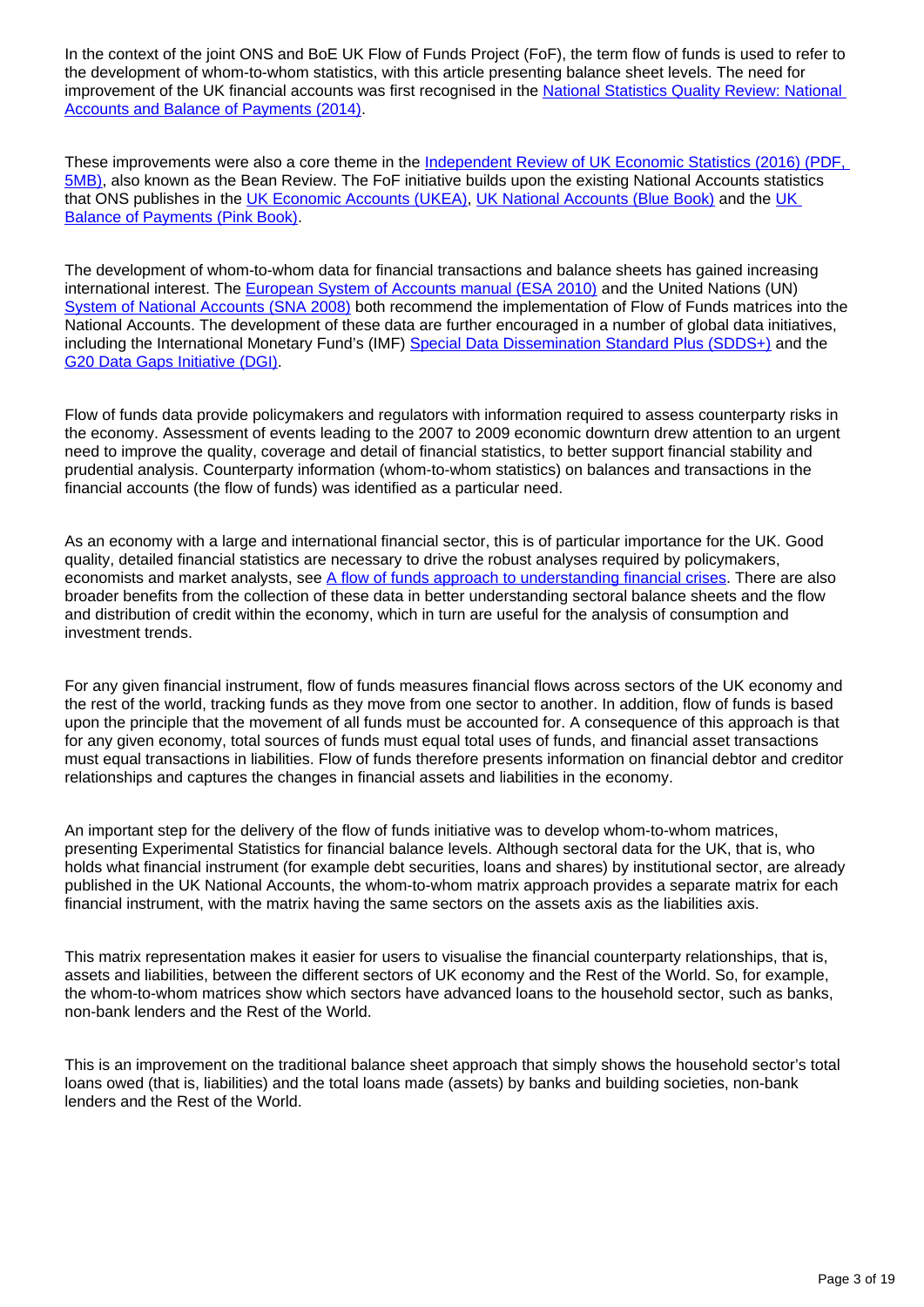In the context of the joint ONS and BoE UK Flow of Funds Project (FoF), the term flow of funds is used to refer to the development of whom-to-whom statistics, with this article presenting balance sheet levels. The need for improvement of the UK financial accounts was first recognised in the National Statistics Quality Review: National [Accounts and Balance of Payments \(2014\)](https://webarchive.nationalarchives.gov.uk/20151014041104/http:/www.ons.gov.uk/ons/rel/naa1-rd/national-statistics-quality-review/-nsqr--series--2--report-no--2--review-of-national-accounts-and-balance-of-payments/index.html).

These improvements were also a core theme in the Independent Review of UK Economic Statistics (2016) (PDF, [5MB\)](https://assets.publishing.service.gov.uk/government/uploads/system/uploads/attachment_data/file/507081/2904936_Bean_Review_Web_Accessible.pdf), also known as the Bean Review. The FoF initiative builds upon the existing National Accounts statistics that ONS publishes in the [UK Economic Accounts \(UKEA\)](https://www.ons.gov.uk/economy/grossdomesticproductgdp/datasets/unitedkingdomeconomicaccounts), [UK National Accounts \(Blue Book\)](https://www.ons.gov.uk/economy/grossdomesticproductgdp/compendium/unitedkingdomnationalaccountsthebluebook/2020) and the UK [Balance of Payments \(Pink Book\)](https://www.ons.gov.uk/releases/ukbalanceofpaymentsthepinkbook2020).

The development of whom-to-whom data for financial transactions and balance sheets has gained increasing international interest. The **European System of Accounts manual (ESA 2010)** and the United Nations (UN) [System of National Accounts \(SNA 2008\)](http://unstats.un.org/unsd/nationalaccount/sna2008.asp) both recommend the implementation of Flow of Funds matrices into the National Accounts. The development of these data are further encouraged in a number of global data initiatives, including the International Monetary Fund's (IMF) [Special Data Dissemination Standard Plus \(SDDS+\)](http://dsbb.imf.org/Pages/SDDS/Overview.aspx) and the [G20 Data Gaps Initiative \(DGI\)](https://www.fsb.org/2020/10/fsb-and-imf-publish-2020-progress-report-on-g20-data-gaps-initiative/).

Flow of funds data provide policymakers and regulators with information required to assess counterparty risks in the economy. Assessment of events leading to the 2007 to 2009 economic downturn drew attention to an urgent need to improve the quality, coverage and detail of financial statistics, to better support financial stability and prudential analysis. Counterparty information (whom-to-whom statistics) on balances and transactions in the financial accounts (the flow of funds) was identified as a particular need.

As an economy with a large and international financial sector, this is of particular importance for the UK. Good quality, detailed financial statistics are necessary to drive the robust analyses required by policymakers, economists and market analysts, see [A flow of funds approach to understanding financial crises](https://www.ons.gov.uk/economy/nationalaccounts/uksectoraccounts/articles/economicstatisticstransformationprogramme/enhancedfinancialaccountsukflowoffundsaflowoffundsapproachtounderstandingfinancialcrises). There are also broader benefits from the collection of these data in better understanding sectoral balance sheets and the flow and distribution of credit within the economy, which in turn are useful for the analysis of consumption and investment trends.

For any given financial instrument, flow of funds measures financial flows across sectors of the UK economy and the rest of the world, tracking funds as they move from one sector to another. In addition, flow of funds is based upon the principle that the movement of all funds must be accounted for. A consequence of this approach is that for any given economy, total sources of funds must equal total uses of funds, and financial asset transactions must equal transactions in liabilities. Flow of funds therefore presents information on financial debtor and creditor relationships and captures the changes in financial assets and liabilities in the economy.

An important step for the delivery of the flow of funds initiative was to develop whom-to-whom matrices, presenting Experimental Statistics for financial balance levels. Although sectoral data for the UK, that is, who holds what financial instrument (for example debt securities, loans and shares) by institutional sector, are already published in the UK National Accounts, the whom-to-whom matrix approach provides a separate matrix for each financial instrument, with the matrix having the same sectors on the assets axis as the liabilities axis.

This matrix representation makes it easier for users to visualise the financial counterparty relationships, that is, assets and liabilities, between the different sectors of UK economy and the Rest of the World. So, for example, the whom-to-whom matrices show which sectors have advanced loans to the household sector, such as banks, non-bank lenders and the Rest of the World.

This is an improvement on the traditional balance sheet approach that simply shows the household sector's total loans owed (that is, liabilities) and the total loans made (assets) by banks and building societies, non-bank lenders and the Rest of the World.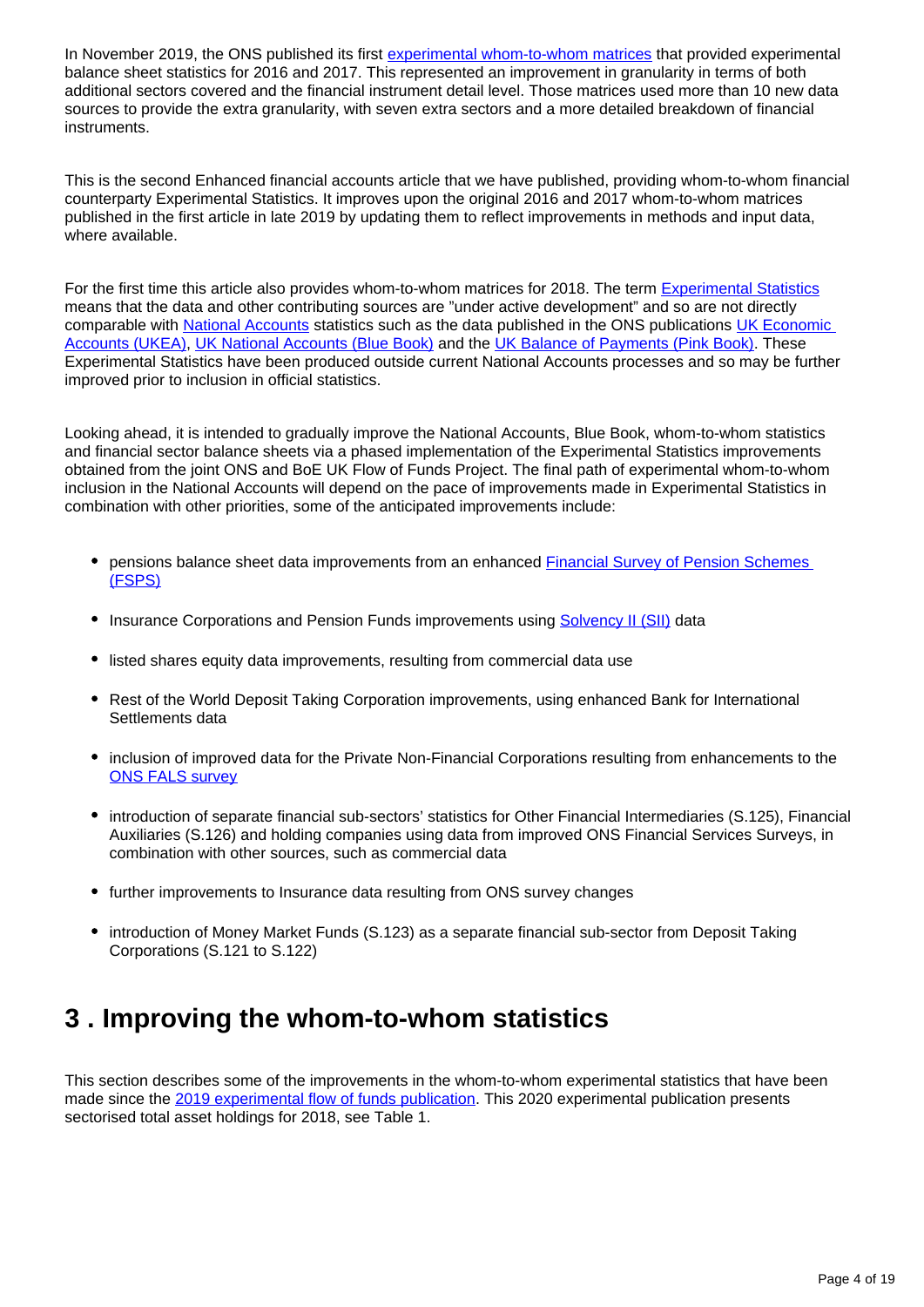In November 2019, the ONS published its first [experimental whom-to-whom matrices](https://www.ons.gov.uk/economy/nationalaccounts/uksectoraccounts/articles/ukfinancialaccountsexperimentalstatisticsflowoffundsmatrices/2019) that provided experimental balance sheet statistics for 2016 and 2017. This represented an improvement in granularity in terms of both additional sectors covered and the financial instrument detail level. Those matrices used more than 10 new data sources to provide the extra granularity, with seven extra sectors and a more detailed breakdown of financial instruments.

This is the second Enhanced financial accounts article that we have published, providing whom-to-whom financial counterparty Experimental Statistics. It improves upon the original 2016 and 2017 whom-to-whom matrices published in the first article in late 2019 by updating them to reflect improvements in methods and input data, where available.

For the first time this article also provides whom-to-whom matrices for 2018. The term [Experimental Statistics](https://www.ons.gov.uk/methodology/methodologytopicsandstatisticalconcepts/guidetoexperimentalstatistics#what-are-experimental-statistics) means that the data and other contributing sources are "under active development" and so are not directly comparable with [National Accounts](https://www.ons.gov.uk/economy/nationalaccounts) statistics such as the data published in the ONS publications UK Economic [Accounts \(UKEA\)](https://www.ons.gov.uk/economy/grossdomesticproductgdp/datasets/unitedkingdomeconomicaccounts), [UK National Accounts \(Blue Book\)](https://www.ons.gov.uk/economy/grossdomesticproductgdp/compendium/unitedkingdomnationalaccountsthebluebook/2020) and the [UK Balance of Payments \(Pink Book\)](https://www.ons.gov.uk/releases/ukbalanceofpaymentsthepinkbook2020). These Experimental Statistics have been produced outside current National Accounts processes and so may be further improved prior to inclusion in official statistics.

Looking ahead, it is intended to gradually improve the National Accounts, Blue Book, whom-to-whom statistics and financial sector balance sheets via a phased implementation of the Experimental Statistics improvements obtained from the joint ONS and BoE UK Flow of Funds Project. The final path of experimental whom-to-whom inclusion in the National Accounts will depend on the pace of improvements made in Experimental Statistics in combination with other priorities, some of the anticipated improvements include:

- pensions balance sheet data improvements from an enhanced [Financial Survey of Pension Schemes](https://www.ons.gov.uk/surveys/informationforbusinesses/businesssurveys/financialsurveyofpensionschemes)  [\(FSPS\)](https://www.ons.gov.uk/surveys/informationforbusinesses/businesssurveys/financialsurveyofpensionschemes)
- Insurance Corporations and Pension Funds improvements using [Solvency II \(SII\)](https://www.eiopa.europa.eu/) data
- listed shares equity data improvements, resulting from commercial data use
- Rest of the World Deposit Taking Corporation improvements, using enhanced Bank for International Settlements data
- inclusion of improved data for the Private Non-Financial Corporations resulting from enhancements to the [ONS FALS survey](https://www.ons.gov.uk/surveys/informationforbusinesses/businesssurveys/quarterlysurveyoffinancialassetsandliabilities)
- introduction of separate financial sub-sectors' statistics for Other Financial Intermediaries (S.125), Financial Auxiliaries (S.126) and holding companies using data from improved ONS Financial Services Surveys, in combination with other sources, such as commercial data
- further improvements to Insurance data resulting from ONS survey changes
- introduction of Money Market Funds (S.123) as a separate financial sub-sector from Deposit Taking Corporations (S.121 to S.122)

## <span id="page-3-0"></span>**3 . Improving the whom-to-whom statistics**

This section describes some of the improvements in the whom-to-whom experimental statistics that have been made since the [2019 experimental flow of funds publication](https://www.ons.gov.uk/economy/nationalaccounts/uksectoraccounts/articles/ukfinancialaccountsexperimentalstatisticsflowoffundsmatrices/2019). This 2020 experimental publication presents sectorised total asset holdings for 2018, see Table 1.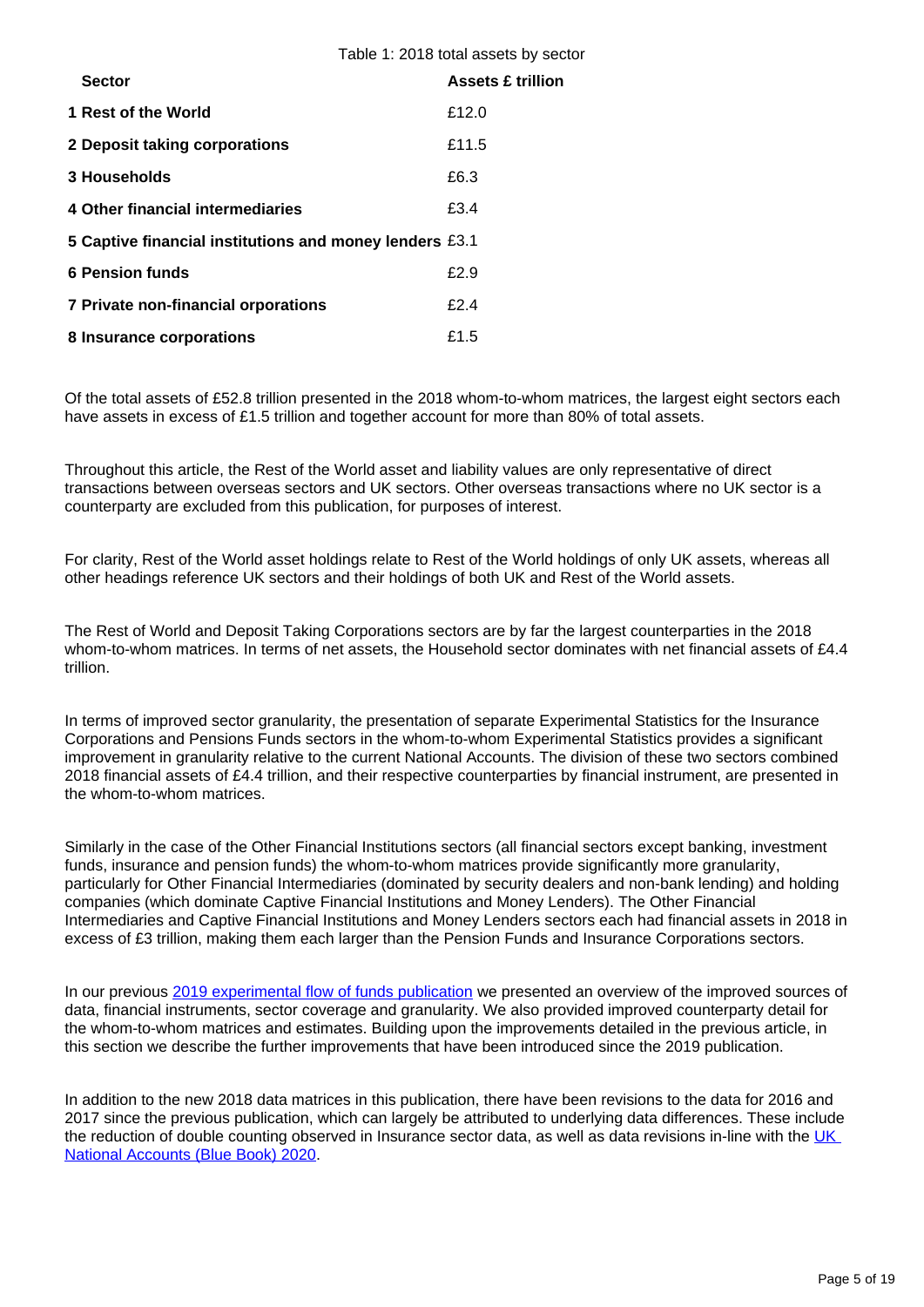Table 1: 2018 total assets by sector

| <b>Sector</b>                                           | <b>Assets £ trillion</b> |
|---------------------------------------------------------|--------------------------|
| 1 Rest of the World                                     | £12.0                    |
| 2 Deposit taking corporations                           | £11.5                    |
| 3 Households                                            | £6.3                     |
| 4 Other financial intermediaries                        | £3.4                     |
| 5 Captive financial institutions and money lenders £3.1 |                          |
| <b>6 Pension funds</b>                                  | £2.9                     |
| 7 Private non-financial orporations                     | f2.4                     |
| 8 Insurance corporations                                | £1.5                     |

Of the total assets of £52.8 trillion presented in the 2018 whom-to-whom matrices, the largest eight sectors each have assets in excess of £1.5 trillion and together account for more than 80% of total assets.

Throughout this article, the Rest of the World asset and liability values are only representative of direct transactions between overseas sectors and UK sectors. Other overseas transactions where no UK sector is a counterparty are excluded from this publication, for purposes of interest.

For clarity, Rest of the World asset holdings relate to Rest of the World holdings of only UK assets, whereas all other headings reference UK sectors and their holdings of both UK and Rest of the World assets.

The Rest of World and Deposit Taking Corporations sectors are by far the largest counterparties in the 2018 whom-to-whom matrices. In terms of net assets, the Household sector dominates with net financial assets of £4.4 trillion.

In terms of improved sector granularity, the presentation of separate Experimental Statistics for the Insurance Corporations and Pensions Funds sectors in the whom-to-whom Experimental Statistics provides a significant improvement in granularity relative to the current National Accounts. The division of these two sectors combined 2018 financial assets of £4.4 trillion, and their respective counterparties by financial instrument, are presented in the whom-to-whom matrices.

Similarly in the case of the Other Financial Institutions sectors (all financial sectors except banking, investment funds, insurance and pension funds) the whom-to-whom matrices provide significantly more granularity, particularly for Other Financial Intermediaries (dominated by security dealers and non-bank lending) and holding companies (which dominate Captive Financial Institutions and Money Lenders). The Other Financial Intermediaries and Captive Financial Institutions and Money Lenders sectors each had financial assets in 2018 in excess of £3 trillion, making them each larger than the Pension Funds and Insurance Corporations sectors.

In our previous [2019 experimental flow of funds publication](https://www.ons.gov.uk/economy/nationalaccounts/uksectoraccounts/articles/ukfinancialaccountsexperimentalstatisticsflowoffundsmatrices/2019) we presented an overview of the improved sources of data, financial instruments, sector coverage and granularity. We also provided improved counterparty detail for the whom-to-whom matrices and estimates. Building upon the improvements detailed in the previous article, in this section we describe the further improvements that have been introduced since the 2019 publication.

In addition to the new 2018 data matrices in this publication, there have been revisions to the data for 2016 and 2017 since the previous publication, which can largely be attributed to underlying data differences. These include the reduction of double counting observed in Insurance sector data, as well as data revisions in-line with the UK [National Accounts \(Blue Book\) 2020.](https://www.ons.gov.uk/economy/grossdomesticproductgdp/compendium/unitedkingdomnationalaccountsthebluebook/2020)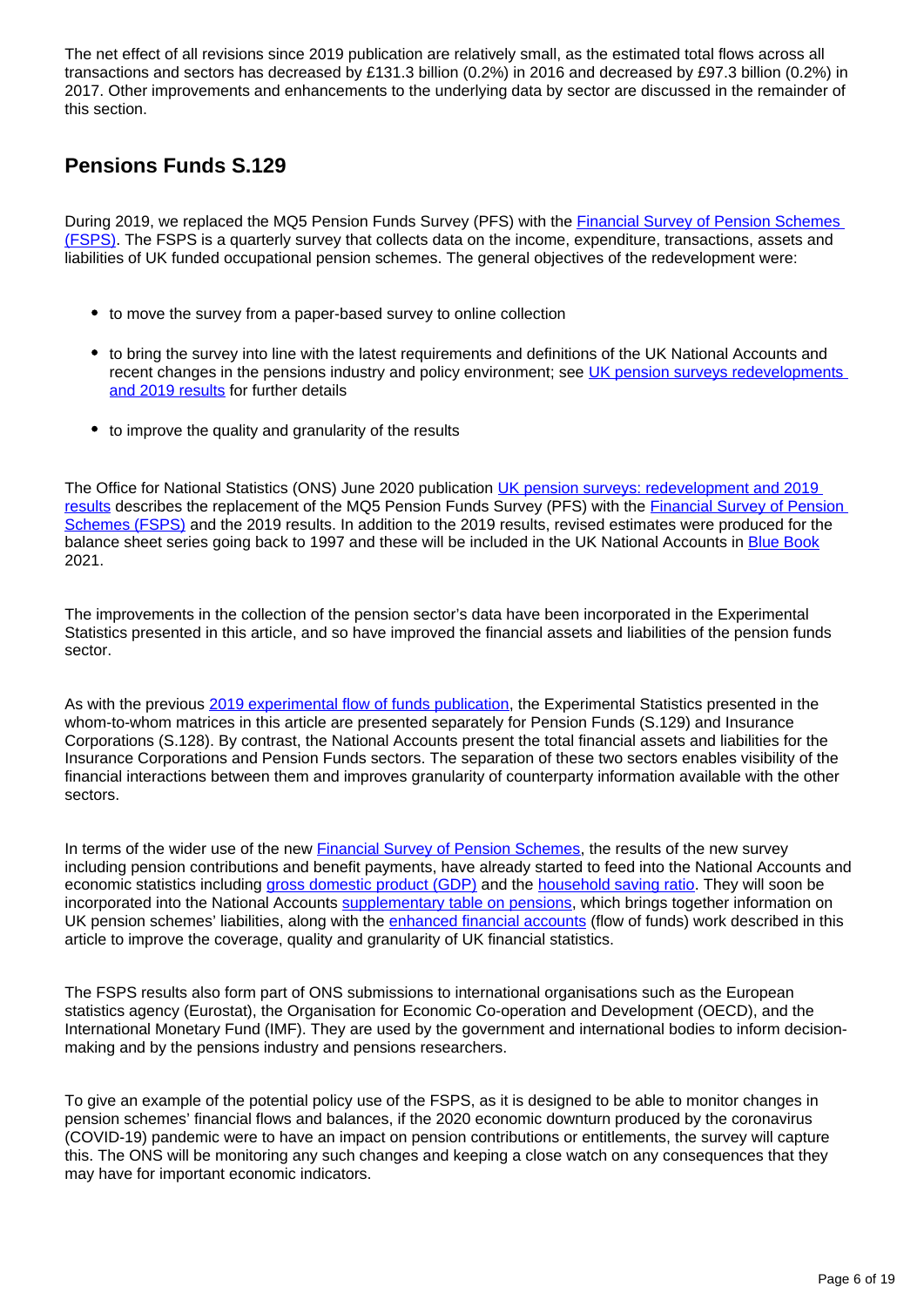The net effect of all revisions since 2019 publication are relatively small, as the estimated total flows across all transactions and sectors has decreased by £131.3 billion (0.2%) in 2016 and decreased by £97.3 billion (0.2%) in 2017. Other improvements and enhancements to the underlying data by sector are discussed in the remainder of this section.

#### **Pensions Funds S.129**

During 2019, we replaced the MQ5 Pension Funds Survey (PFS) with the Financial Survey of Pension Schemes [\(FSPS\).](https://www.ons.gov.uk/surveys/informationforbusinesses/businesssurveys/financialsurveyofpensionschemes) The FSPS is a quarterly survey that collects data on the income, expenditure, transactions, assets and liabilities of UK funded occupational pension schemes. The general objectives of the redevelopment were:

- to move the survey from a paper-based survey to online collection
- to bring the survey into line with the latest requirements and definitions of the UK National Accounts and recent changes in the pensions industry and policy environment; see UK pension surveys redevelopments [and 2019 results](https://www.ons.gov.uk/economy/investmentspensionsandtrusts/articles/ukpensionsurveys/redevelopmentand2019results) for further details
- to improve the quality and granularity of the results

The Office for National Statistics (ONS) June 2020 publication [UK pension surveys: redevelopment and 2019](https://www.ons.gov.uk/redir/eyJhbGciOiJIUzI1NiJ9.eyJpbmRleCI6OCwicGFnZVNpemUiOjEwLCJ0ZXJtIjoiUGVuc2lvbiBzdXJ2ZXkiLCJwYWdlIjoxLCJ1cmkiOiIvZWNvbm9teS9pbnZlc3RtZW50c3BlbnNpb25zYW5kdHJ1c3RzL2FydGljbGVzL3VrcGVuc2lvbnN1cnZleXMvcmVkZXZlbG9wbWVudGFuZDIwMTlyZXN1bHRzIiwibGlzdFR5cGUiOiJzZWFyY2gifQ.33Cy7ndJMQWIQCeFZW7tw8u6XIwcz_mlI4En7z9-vsY)  [results](https://www.ons.gov.uk/redir/eyJhbGciOiJIUzI1NiJ9.eyJpbmRleCI6OCwicGFnZVNpemUiOjEwLCJ0ZXJtIjoiUGVuc2lvbiBzdXJ2ZXkiLCJwYWdlIjoxLCJ1cmkiOiIvZWNvbm9teS9pbnZlc3RtZW50c3BlbnNpb25zYW5kdHJ1c3RzL2FydGljbGVzL3VrcGVuc2lvbnN1cnZleXMvcmVkZXZlbG9wbWVudGFuZDIwMTlyZXN1bHRzIiwibGlzdFR5cGUiOiJzZWFyY2gifQ.33Cy7ndJMQWIQCeFZW7tw8u6XIwcz_mlI4En7z9-vsY) describes the replacement of the MQ5 Pension Funds Survey (PFS) with the [Financial Survey of Pension](https://www.ons.gov.uk/surveys/informationforbusinesses/businesssurveys/financialsurveyofpensionschemes)  [Schemes \(FSPS\)](https://www.ons.gov.uk/surveys/informationforbusinesses/businesssurveys/financialsurveyofpensionschemes) and the 2019 results. In addition to the 2019 results, revised estimates were produced for the balance sheet series going back to 1997 and these will be included in the UK National Accounts in [Blue Book](https://www.ons.gov.uk/economy/grossdomesticproductgdp/datasets/bluebook) 2021.

The improvements in the collection of the pension sector's data have been incorporated in the Experimental Statistics presented in this article, and so have improved the financial assets and liabilities of the pension funds sector.

As with the previous [2019 experimental flow of funds publication](https://www.ons.gov.uk/economy/nationalaccounts/uksectoraccounts/articles/ukfinancialaccountsexperimentalstatisticsflowoffundsmatrices/2019), the Experimental Statistics presented in the whom-to-whom matrices in this article are presented separately for Pension Funds (S.129) and Insurance Corporations (S.128). By contrast, the National Accounts present the total financial assets and liabilities for the Insurance Corporations and Pension Funds sectors. The separation of these two sectors enables visibility of the financial interactions between them and improves granularity of counterparty information available with the other sectors.

In terms of the wider use of the new [Financial Survey of Pension Schemes](https://www.ons.gov.uk/surveys/informationforbusinesses/businesssurveys/financialsurveyofpensionschemes), the results of the new survey including pension contributions and benefit payments, have already started to feed into the National Accounts and economic statistics including [gross domestic product \(GDP\)](https://www.ons.gov.uk/economy/grossdomesticproductgdp) and the [household saving ratio.](https://www.ons.gov.uk/economy/grossdomesticproductgdp/timeseries/dgd8/ukea) They will soon be incorporated into the National Accounts [supplementary table on pensions,](https://www.ons.gov.uk/economy/nationalaccounts/uksectoraccounts/articles/pensionsinthenationalaccountsafullerpictureoftheuksfundedandunfundedpensionobligations/2010to2015) which brings together information on UK pension schemes' liabilities, along with the [enhanced financial accounts](https://www.ons.gov.uk/releases/econonicstatisticsprogrammeenhancedfinancialaccountsukflowoffunds2019experimentalstatisticsmatrix) (flow of funds) work described in this article to improve the coverage, quality and granularity of UK financial statistics.

The FSPS results also form part of ONS submissions to international organisations such as the European statistics agency (Eurostat), the Organisation for Economic Co-operation and Development (OECD), and the International Monetary Fund (IMF). They are used by the government and international bodies to inform decisionmaking and by the pensions industry and pensions researchers.

To give an example of the potential policy use of the FSPS, as it is designed to be able to monitor changes in pension schemes' financial flows and balances, if the 2020 economic downturn produced by the coronavirus (COVID-19) pandemic were to have an impact on pension contributions or entitlements, the survey will capture this. The ONS will be monitoring any such changes and keeping a close watch on any consequences that they may have for important economic indicators.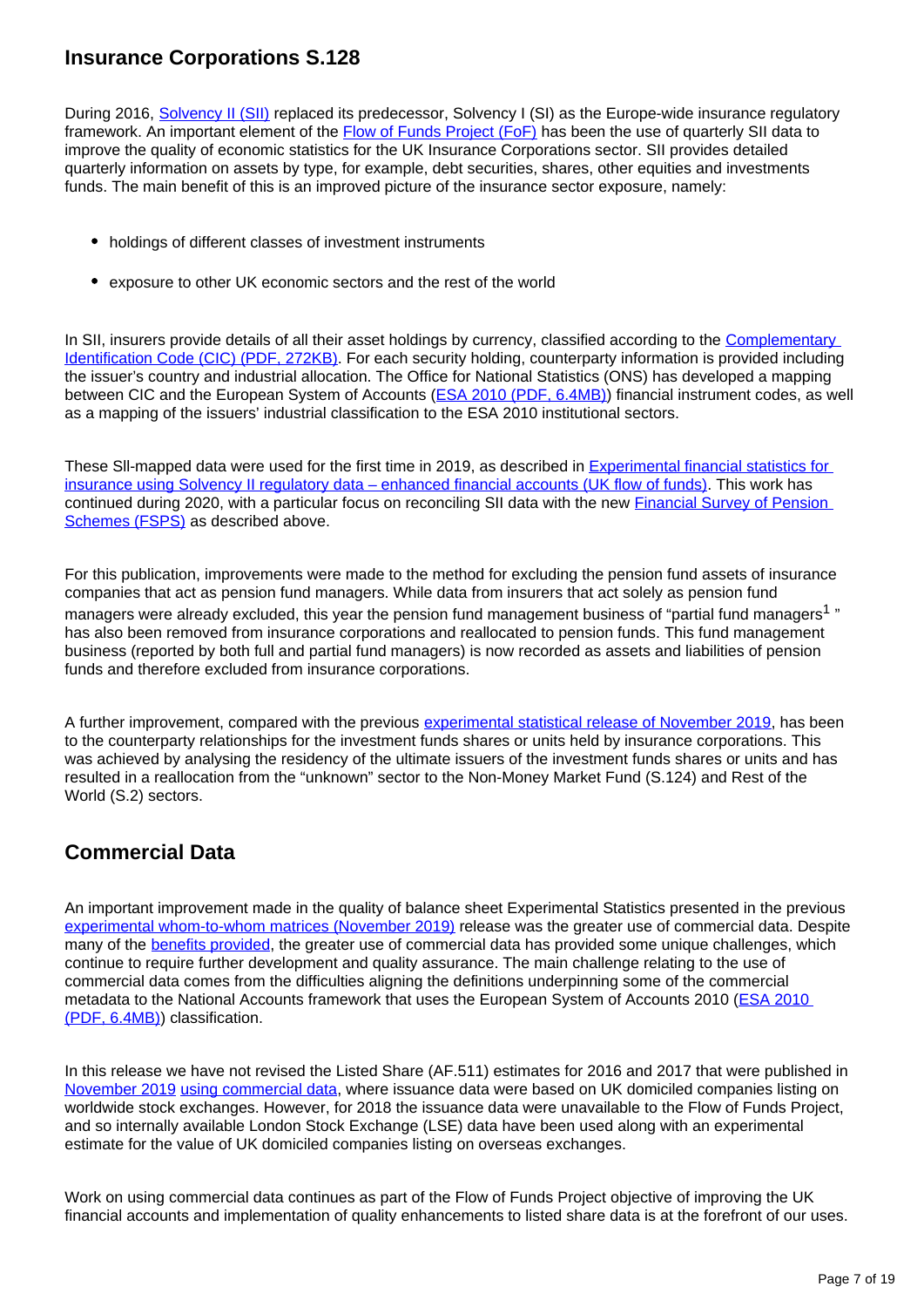#### **Insurance Corporations S.128**

During 2016, [Solvency II \(SII\)](https://www.bankofengland.co.uk/prudential-regulation/key-initiatives/solvency-ii) replaced its predecessor, Solvency I (SI) as the Europe-wide insurance regulatory framework. An important element of the [Flow of Funds Project \(FoF\)](https://www.ons.gov.uk/releases/theukflowoffundsprojectintroducingtheenhancedfinancialaccounts) has been the use of quarterly SII data to improve the quality of economic statistics for the UK Insurance Corporations sector. SII provides detailed quarterly information on assets by type, for example, debt securities, shares, other equities and investments funds. The main benefit of this is an improved picture of the insurance sector exposure, namely:

- holdings of different classes of investment instruments
- exposure to other UK economic sectors and the rest of the world

In SII, insurers provide details of all their asset holdings by currency, classified according to the Complementary [Identification Code \(CIC\) \(PDF, 272KB\).](https://www.wmdaten.de/dyn_content/fckeditor/Flyer%20CIC-E.pdf) For each security holding, counterparty information is provided including the issuer's country and industrial allocation. The Office for National Statistics (ONS) has developed a mapping between CIC and the European System of Accounts (**ESA 2010 (PDF, 6.4MB)**) financial instrument codes, as well as a mapping of the issuers' industrial classification to the ESA 2010 institutional sectors.

These Sll-mapped data were used for the first time in 2019, as described in [Experimental financial statistics for](https://www.ons.gov.uk/economy/nationalaccounts/uksectoraccounts/articles/experimentalfinancialstatisticsforinsuranceusingsolvencyiiregulatorydataenhancedfinancialaccountsukflowoffunds/2018-04-30)  [insurance using Solvency II regulatory data – enhanced financial accounts \(UK flow of funds\)](https://www.ons.gov.uk/economy/nationalaccounts/uksectoraccounts/articles/experimentalfinancialstatisticsforinsuranceusingsolvencyiiregulatorydataenhancedfinancialaccountsukflowoffunds/2018-04-30). This work has continued during 2020, with a particular focus on reconciling SII data with the new **Financial Survey of Pension** [Schemes \(FSPS\)](https://www.ons.gov.uk/redir/eyJhbGciOiJIUzI1NiJ9.eyJpbmRleCI6NywicGFnZVNpemUiOjEwLCJ0ZXJtIjoiUGVuc2lvbiBzdXJ2ZXkiLCJwYWdlIjoxLCJ1cmkiOiIvc3VydmV5cy9pbmZvcm1hdGlvbmZvcmJ1c2luZXNzZXMvYnVzaW5lc3NzdXJ2ZXlzL2ZpbmFuY2lhbHN1cnZleW9mcGVuc2lvbnNjaGVtZXMiLCJsaXN0VHlwZSI6InNlYXJjaCJ9.abrlEGDu4Cda3SG9uZzjoKYZ84i60ydSr4TbcpqfXig) as described above.

For this publication, improvements were made to the method for excluding the pension fund assets of insurance companies that act as pension fund managers. While data from insurers that act solely as pension fund managers were already excluded, this year the pension fund management business of "partial fund managers<sup>1</sup>" has also been removed from insurance corporations and reallocated to pension funds. This fund management business (reported by both full and partial fund managers) is now recorded as assets and liabilities of pension funds and therefore excluded from insurance corporations.

A further improvement, compared with the previous [experimental statistical release of November 2019](https://www.ons.gov.uk/economy/nationalaccounts/uksectoraccounts/articles/ukfinancialaccountsexperimentalstatisticsflowoffundsmatrices/2019), has been to the counterparty relationships for the investment funds shares or units held by insurance corporations. This was achieved by analysing the residency of the ultimate issuers of the investment funds shares or units and has resulted in a reallocation from the "unknown" sector to the Non-Money Market Fund (S.124) and Rest of the World (S.2) sectors.

#### **Commercial Data**

An important improvement made in the quality of balance sheet Experimental Statistics presented in the previous [experimental whom-to-whom matrices \(November 2019\)](https://www.ons.gov.uk/economy/nationalaccounts/uksectoraccounts/articles/ukfinancialaccountsexperimentalstatisticsflowoffundsmatrices/2019) release was the greater use of commercial data. Despite many of the [benefits provided](https://www.ons.gov.uk/economy/nationalaccounts/uksectoraccounts/articles/enhancedfinancialaccountsukflowoffundsusingcommercialdatainexperimentalstatistics/2019-11-26), the greater use of commercial data has provided some unique challenges, which continue to require further development and quality assurance. The main challenge relating to the use of commercial data comes from the difficulties aligning the definitions underpinning some of the commercial metadata to the National Accounts framework that uses the European System of Accounts 2010 ([ESA 2010](https://ec.europa.eu/eurostat/documents/3859598/5925693/KS-02-13-269-EN.PDF/44cd9d01-bc64-40e5-bd40-d17df0c69334)  [\(PDF, 6.4MB\)](https://ec.europa.eu/eurostat/documents/3859598/5925693/KS-02-13-269-EN.PDF/44cd9d01-bc64-40e5-bd40-d17df0c69334)) classification.

In this release we have not revised the Listed Share (AF.511) estimates for 2016 and 2017 that were published in [November 2019](https://www.ons.gov.uk/economy/nationalaccounts/uksectoraccounts/articles/ukfinancialaccountsexperimentalstatisticsflowoffundsmatrices/2019) [using commercial data](https://www.ons.gov.uk/economy/nationalaccounts/uksectoraccounts/articles/enhancedfinancialaccountsukflowoffundsusingcommercialdatainexperimentalstatistics/2019-11-26), where issuance data were based on UK domiciled companies listing on worldwide stock exchanges. However, for 2018 the issuance data were unavailable to the Flow of Funds Project, and so internally available London Stock Exchange (LSE) data have been used along with an experimental estimate for the value of UK domiciled companies listing on overseas exchanges.

Work on using commercial data continues as part of the Flow of Funds Project objective of improving the UK financial accounts and implementation of quality enhancements to listed share data is at the forefront of our uses.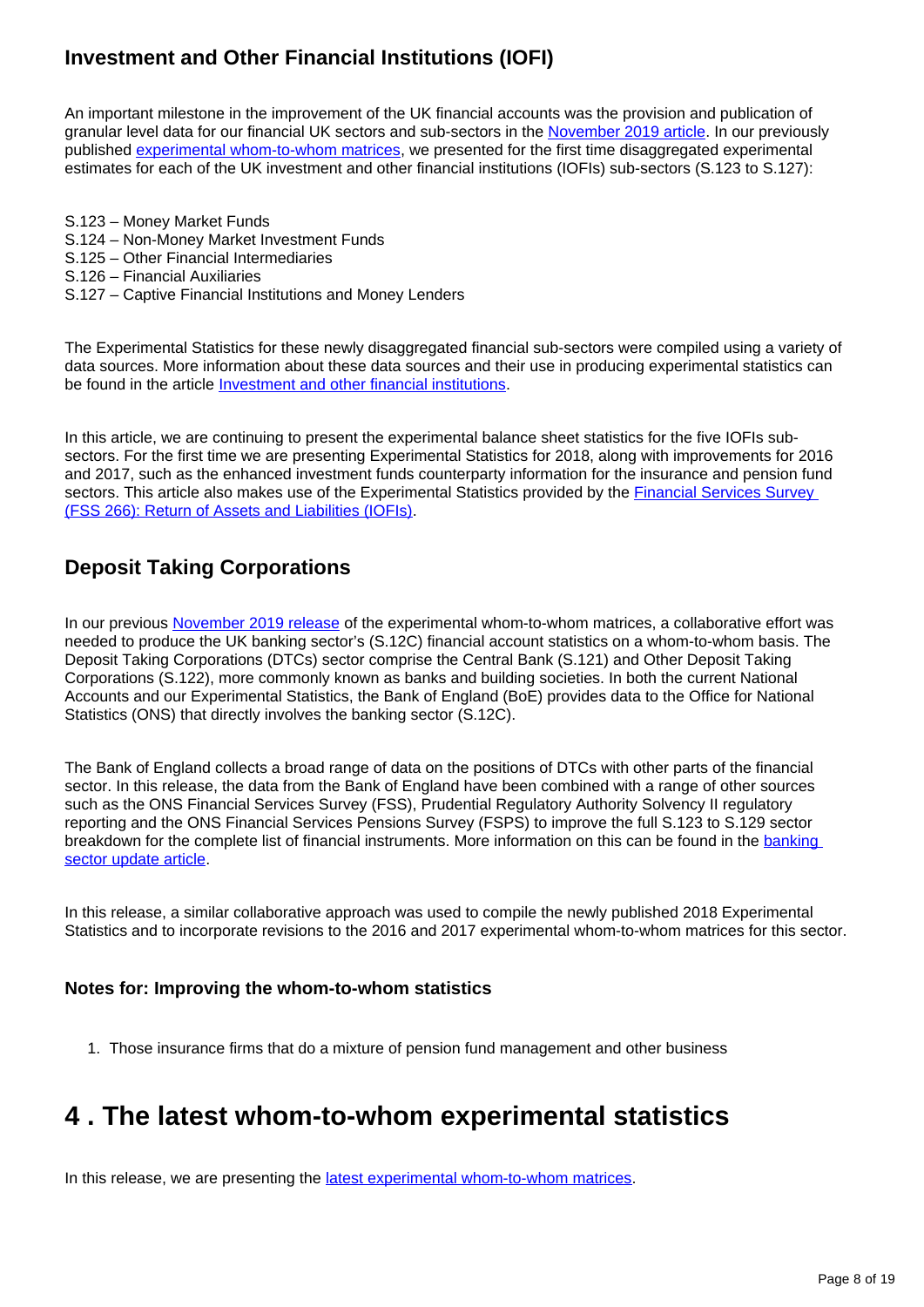### **Investment and Other Financial Institutions (IOFI)**

An important milestone in the improvement of the UK financial accounts was the provision and publication of granular level data for our financial UK sectors and sub-sectors in the [November 2019 article.](https://www.ons.gov.uk/economy/nationalaccounts/uksectoraccounts/articles/ukfinancialaccountsexperimentalstatisticsflowoffundsmatrices/2019) In our previously published [experimental whom-to-whom matrices](https://www.ons.gov.uk/economy/nationalaccounts/uksectoraccounts/articles/ukfinancialaccountsexperimentalstatisticsflowoffundsmatrices/2019), we presented for the first time disaggregated experimental estimates for each of the UK investment and other financial institutions (IOFIs) sub-sectors (S.123 to S.127):

- S.123 Money Market Funds
- S.124 Non-Money Market Investment Funds
- S.125 Other Financial Intermediaries
- S.126 Financial Auxiliaries
- S.127 Captive Financial Institutions and Money Lenders

The Experimental Statistics for these newly disaggregated financial sub-sectors were compiled using a variety of data sources. More information about these data sources and their use in producing experimental statistics can be found in the article *[Investment and other financial institutions](https://www.ons.gov.uk/economy/nationalaccounts/uksectoraccounts/articles/enhancedfinancialaccountsukflowoffundsinvestmentandotherfinancialinstitutionsiofis/2019-11-26)*.

In this article, we are continuing to present the experimental balance sheet statistics for the five IOFIs subsectors. For the first time we are presenting Experimental Statistics for 2018, along with improvements for 2016 and 2017, such as the enhanced investment funds counterparty information for the insurance and pension fund sectors. This article also makes use of the Experimental Statistics provided by the Financial Services Survey [\(FSS 266\): Return of Assets and Liabilities \(IOFIs\).](https://www.ons.gov.uk/economy/nationalaccounts/uksectoraccounts/articles/economicstatisticstransformationprogramme/octobertodecember2019)

#### **Deposit Taking Corporations**

In our previous [November 2019 release](https://www.ons.gov.uk/economy/nationalaccounts/uksectoraccounts/articles/ukfinancialaccountsexperimentalstatisticsflowoffundsmatrices/2019) of the experimental whom-to-whom matrices, a collaborative effort was needed to produce the UK banking sector's (S.12C) financial account statistics on a whom-to-whom basis. The Deposit Taking Corporations (DTCs) sector comprise the Central Bank (S.121) and Other Deposit Taking Corporations (S.122), more commonly known as banks and building societies. In both the current National Accounts and our Experimental Statistics, the Bank of England (BoE) provides data to the Office for National Statistics (ONS) that directly involves the banking sector (S.12C).

The Bank of England collects a broad range of data on the positions of DTCs with other parts of the financial sector. In this release, the data from the Bank of England have been combined with a range of other sources such as the ONS Financial Services Survey (FSS), Prudential Regulatory Authority Solvency II regulatory reporting and the ONS Financial Services Pensions Survey (FSPS) to improve the full S.123 to S.129 sector breakdown for the complete list of financial instruments. More information on this can be found in the [banking](https://www.ons.gov.uk/economy/nationalaccounts/uksectoraccounts/articles/enhancedfinancialaccountsukflowoffundsbankingsectorupdate/2019-11-26)  [sector update article.](https://www.ons.gov.uk/economy/nationalaccounts/uksectoraccounts/articles/enhancedfinancialaccountsukflowoffundsbankingsectorupdate/2019-11-26)

In this release, a similar collaborative approach was used to compile the newly published 2018 Experimental Statistics and to incorporate revisions to the 2016 and 2017 experimental whom-to-whom matrices for this sector.

#### **Notes for: Improving the whom-to-whom statistics**

1. Those insurance firms that do a mixture of pension fund management and other business

# <span id="page-7-0"></span>**4 . The latest whom-to-whom experimental statistics**

In this release, we are presenting the [latest experimental whom-to-whom matrices](https://www.ons.gov.uk/economy/nationalaccounts/uksectoraccounts/datasets/ukfinancialaccountsexperimentalstatisticsflowoffundsmatricesdatatables).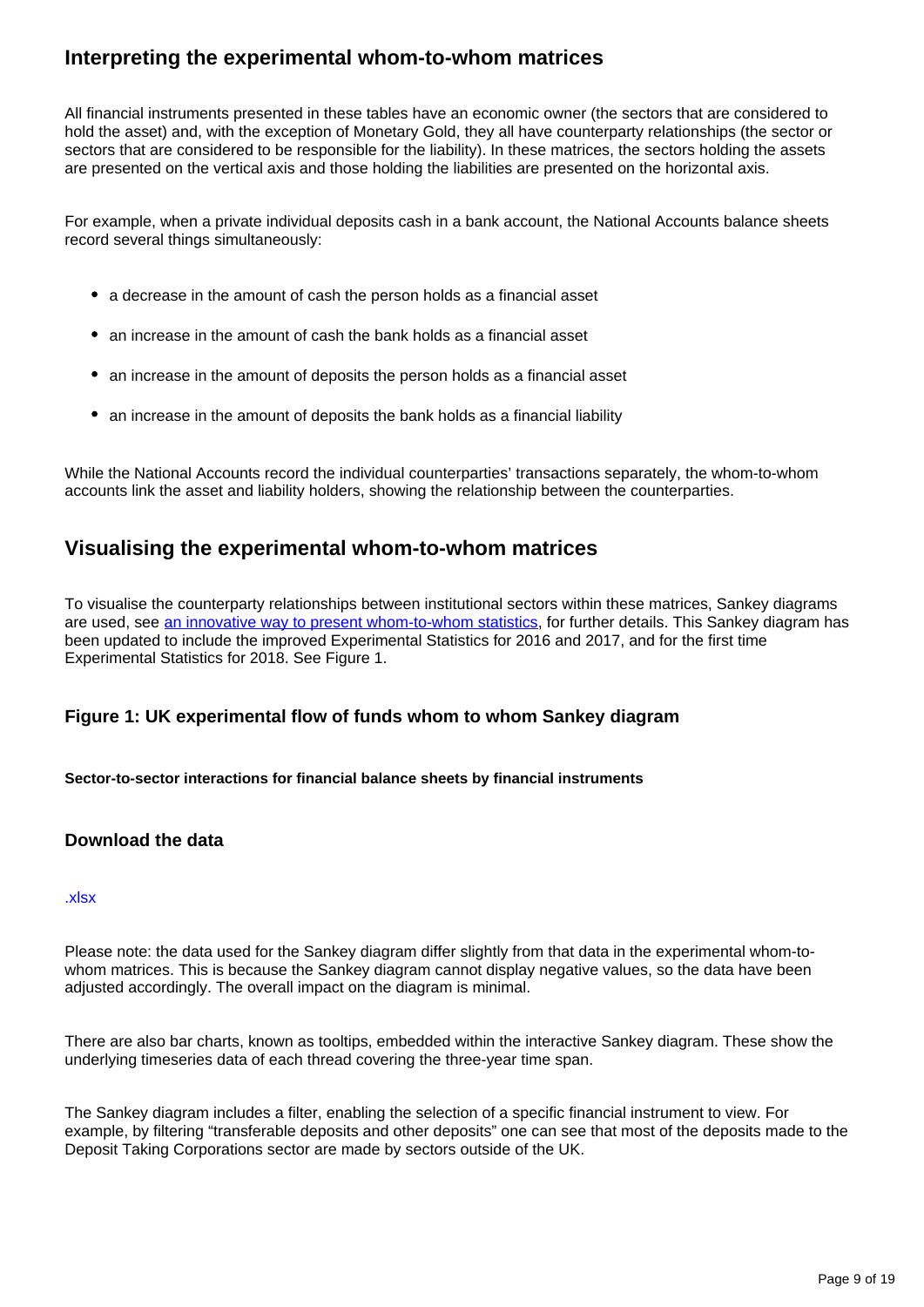#### **Interpreting the experimental whom-to-whom matrices**

All financial instruments presented in these tables have an economic owner (the sectors that are considered to hold the asset) and, with the exception of Monetary Gold, they all have counterparty relationships (the sector or sectors that are considered to be responsible for the liability). In these matrices, the sectors holding the assets are presented on the vertical axis and those holding the liabilities are presented on the horizontal axis.

For example, when a private individual deposits cash in a bank account, the National Accounts balance sheets record several things simultaneously:

- a decrease in the amount of cash the person holds as a financial asset
- an increase in the amount of cash the bank holds as a financial asset
- an increase in the amount of deposits the person holds as a financial asset
- an increase in the amount of deposits the bank holds as a financial liability

While the National Accounts record the individual counterparties' transactions separately, the whom-to-whom accounts link the asset and liability holders, showing the relationship between the counterparties.

#### **Visualising the experimental whom-to-whom matrices**

To visualise the counterparty relationships between institutional sectors within these matrices, Sankey diagrams are used, see [an innovative way to present whom-to-whom statistics,](https://www.ons.gov.uk/economy/nationalaccounts/uksectoraccounts/articles/nationalaccountsarticlestheukflowoffundsproject/identifyingsectoralinterconnectednessintheukeconomy) for further details. This Sankey diagram has been updated to include the improved Experimental Statistics for 2016 and 2017, and for the first time Experimental Statistics for 2018. See Figure 1.

#### **Figure 1: UK experimental flow of funds whom to whom Sankey diagram**

**Sector-to-sector interactions for financial balance sheets by financial instruments**

#### **Download the data**

#### [.xlsx](https://www.ons.gov.uk/visualisations/dvc1057/data.xls)

Please note: the data used for the Sankey diagram differ slightly from that data in the experimental whom-towhom matrices. This is because the Sankey diagram cannot display negative values, so the data have been adjusted accordingly. The overall impact on the diagram is minimal.

There are also bar charts, known as tooltips, embedded within the interactive Sankey diagram. These show the underlying timeseries data of each thread covering the three-year time span.

The Sankey diagram includes a filter, enabling the selection of a specific financial instrument to view. For example, by filtering "transferable deposits and other deposits" one can see that most of the deposits made to the Deposit Taking Corporations sector are made by sectors outside of the UK.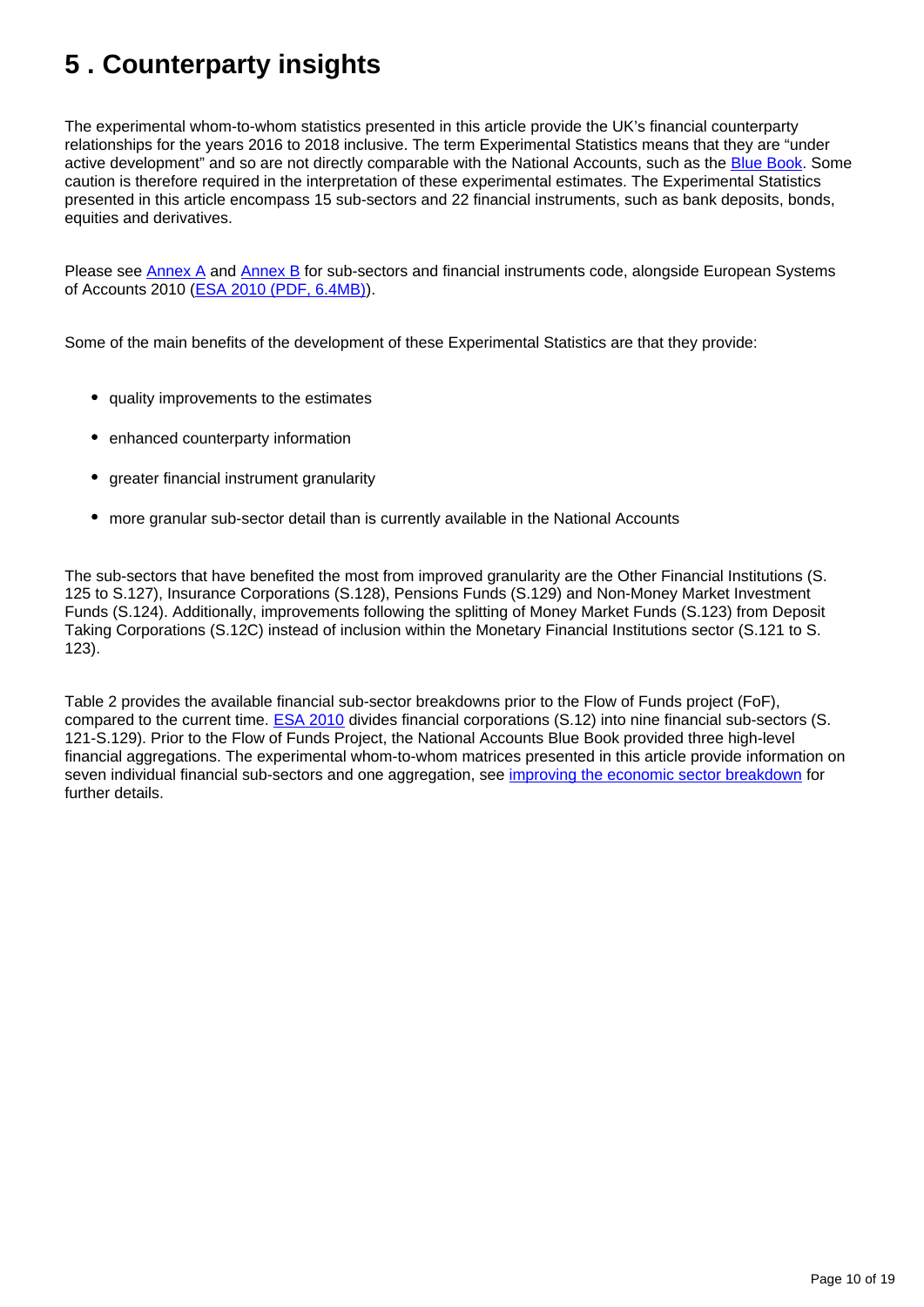# <span id="page-9-0"></span>**5 . Counterparty insights**

The experimental whom-to-whom statistics presented in this article provide the UK's financial counterparty relationships for the years 2016 to 2018 inclusive. The term Experimental Statistics means that they are "under active development" and so are not directly comparable with the National Accounts, such as the [Blue Book](https://www.ons.gov.uk/economy/grossdomesticproductgdp/datasets/bluebook). Some caution is therefore required in the interpretation of these experimental estimates. The Experimental Statistics presented in this article encompass 15 sub-sectors and 22 financial instruments, such as bank deposits, bonds, equities and derivatives.

Please see [Annex A](https://www.ons.gov.uk/economy/nationalaccounts/uksectoraccounts/articles/ukfinancialaccountsexperimentalstatisticsflowoffundsmatrices/2020#annex-a-sector-names-and-codes) and [Annex B](https://www.ons.gov.uk/economy/nationalaccounts/uksectoraccounts/articles/ukfinancialaccountsexperimentalstatisticsflowoffundsmatrices/2020#annex-b-financial-instruments) for sub-sectors and financial instruments code, alongside European Systems of Accounts 2010 ([ESA 2010 \(PDF, 6.4MB\)\)](https://ec.europa.eu/eurostat/documents/3859598/5925693/KS-02-13-269-EN.PDF/44cd9d01-bc64-40e5-bd40-d17df0c69334).

Some of the main benefits of the development of these Experimental Statistics are that they provide:

- quality improvements to the estimates
- enhanced counterparty information
- greater financial instrument granularity
- more granular sub-sector detail than is currently available in the National Accounts

The sub-sectors that have benefited the most from improved granularity are the Other Financial Institutions (S. 125 to S.127), Insurance Corporations (S.128), Pensions Funds (S.129) and Non-Money Market Investment Funds (S.124). Additionally, improvements following the splitting of Money Market Funds (S.123) from Deposit Taking Corporations (S.12C) instead of inclusion within the Monetary Financial Institutions sector (S.121 to S. 123).

Table 2 provides the available financial sub-sector breakdowns prior to the Flow of Funds project (FoF), compared to the current time. **ESA 2010** divides financial corporations (S.12) into nine financial sub-sectors (S. 121-S.129). Prior to the Flow of Funds Project, the National Accounts Blue Book provided three high-level financial aggregations. The experimental whom-to-whom matrices presented in this article provide information on seven individual financial sub-sectors and one aggregation, see [improving the economic sector breakdown](https://www.ons.gov.uk/economy/nationalaccounts/uksectoraccounts/articles/economicstatisticstransformationprogramme/enhancedfinancialaccountsukflowoffundsimprovingtheeconomicsectorbreakdown) for further details.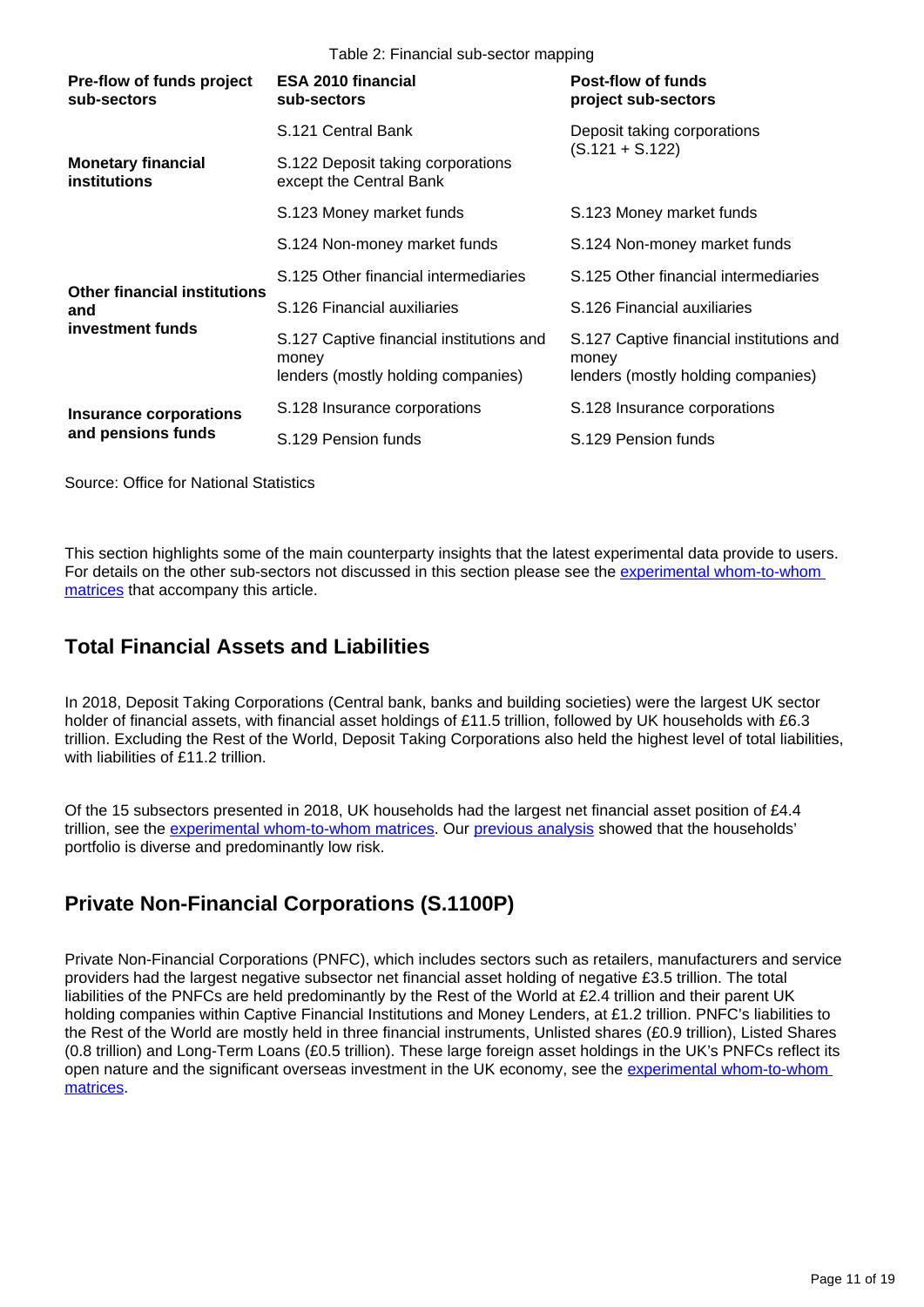Table 2: Financial sub-sector mapping

| Pre-flow of funds project<br>sub-sectors                       | <b>ESA 2010 financial</b><br>sub-sectors                                                | Post-flow of funds<br>project sub-sectors                                               |  |
|----------------------------------------------------------------|-----------------------------------------------------------------------------------------|-----------------------------------------------------------------------------------------|--|
| <b>Monetary financial</b><br>institutions                      | S.121 Central Bank                                                                      | Deposit taking corporations                                                             |  |
|                                                                | S.122 Deposit taking corporations<br>except the Central Bank                            | $(S.121 + S.122)$                                                                       |  |
|                                                                | S.123 Money market funds                                                                | S.123 Money market funds                                                                |  |
| <b>Other financial institutions</b><br>and<br>investment funds | S.124 Non-money market funds                                                            | S.124 Non-money market funds                                                            |  |
|                                                                | S.125 Other financial intermediaries                                                    | S.125 Other financial intermediaries                                                    |  |
|                                                                | S.126 Financial auxiliaries                                                             | S.126 Financial auxiliaries                                                             |  |
|                                                                | S.127 Captive financial institutions and<br>money<br>lenders (mostly holding companies) | S.127 Captive financial institutions and<br>money<br>lenders (mostly holding companies) |  |
| <b>Insurance corporations</b><br>and pensions funds            | S.128 Insurance corporations                                                            | S.128 Insurance corporations                                                            |  |
|                                                                | S.129 Pension funds                                                                     | S.129 Pension funds                                                                     |  |

Source: Office for National Statistics

This section highlights some of the main counterparty insights that the latest experimental data provide to users. For details on the other sub-sectors not discussed in this section please see the [experimental whom-to-whom](https://www.ons.gov.uk/economy/nationalaccounts/uksectoraccounts/datasets/ukfinancialaccountsexperimentalstatisticsflowoffundsmatricesdatatables)  [matrices](https://www.ons.gov.uk/economy/nationalaccounts/uksectoraccounts/datasets/ukfinancialaccountsexperimentalstatisticsflowoffundsmatricesdatatables) that accompany this article.

#### **Total Financial Assets and Liabilities**

In 2018, Deposit Taking Corporations (Central bank, banks and building societies) were the largest UK sector holder of financial assets, with financial asset holdings of £11.5 trillion, followed by UK households with £6.3 trillion. Excluding the Rest of the World, Deposit Taking Corporations also held the highest level of total liabilities, with liabilities of £11.2 trillion.

Of the 15 subsectors presented in 2018, UK households had the largest net financial asset position of £4.4 trillion, see the [experimental whom-to-whom matrices](https://www.ons.gov.uk/economy/nationalaccounts/uksectoraccounts/datasets/ukfinancialaccountsexperimentalstatisticsflowoffundsmatricesdatatables). Our [previous analysis](https://www.ons.gov.uk/economy/nationalaccounts/uksectoraccounts/articles/ukfinancialaccountsexperimentalstatisticsflowoffundsmatrices/2019) showed that the households' portfolio is diverse and predominantly low risk.

### **Private Non-Financial Corporations (S.1100P)**

Private Non-Financial Corporations (PNFC), which includes sectors such as retailers, manufacturers and service providers had the largest negative subsector net financial asset holding of negative £3.5 trillion. The total liabilities of the PNFCs are held predominantly by the Rest of the World at £2.4 trillion and their parent UK holding companies within Captive Financial Institutions and Money Lenders, at £1.2 trillion. PNFC's liabilities to the Rest of the World are mostly held in three financial instruments, Unlisted shares (£0.9 trillion), Listed Shares (0.8 trillion) and Long-Term Loans (£0.5 trillion). These large foreign asset holdings in the UK's PNFCs reflect its open nature and the significant overseas investment in the UK economy, see the experimental whom-to-whom [matrices.](https://www.ons.gov.uk/economy/nationalaccounts/uksectoraccounts/datasets/ukfinancialaccountsexperimentalstatisticsflowoffundsmatricesdatatables)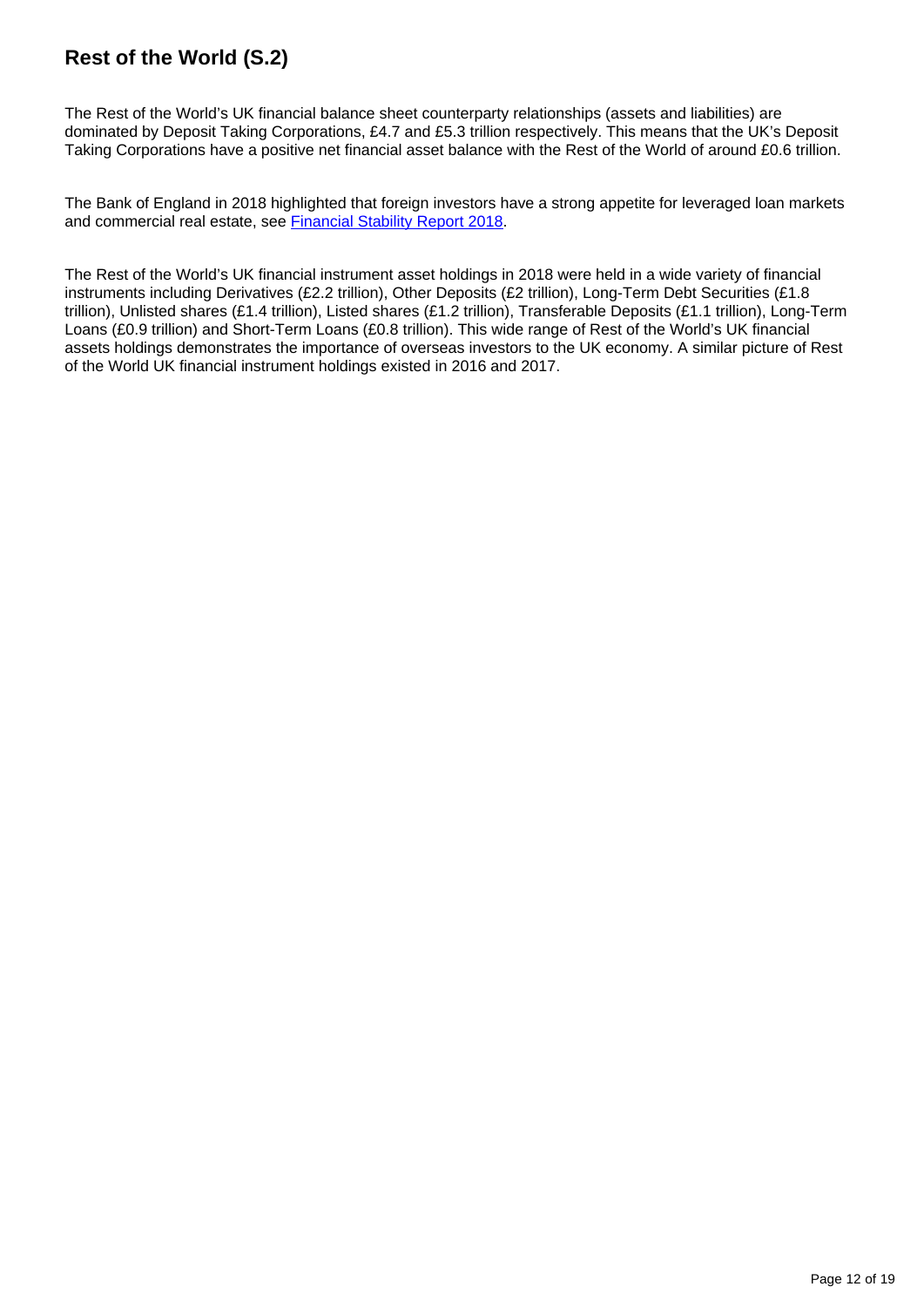## **Rest of the World (S.2)**

The Rest of the World's UK financial balance sheet counterparty relationships (assets and liabilities) are dominated by Deposit Taking Corporations, £4.7 and £5.3 trillion respectively. This means that the UK's Deposit Taking Corporations have a positive net financial asset balance with the Rest of the World of around £0.6 trillion.

The Bank of England in 2018 highlighted that foreign investors have a strong appetite for leveraged loan markets and commercial real estate, see [Financial Stability Report 2018](https://www.bankofengland.co.uk/-/media/boe/files/financial-stability-report/2018/june-2018.pdf?la=en&hash=9D057C7302B80EF57D634020F50C6F46D782904C).

The Rest of the World's UK financial instrument asset holdings in 2018 were held in a wide variety of financial instruments including Derivatives (£2.2 trillion), Other Deposits (£2 trillion), Long-Term Debt Securities (£1.8 trillion), Unlisted shares (£1.4 trillion), Listed shares (£1.2 trillion), Transferable Deposits (£1.1 trillion), Long-Term Loans (£0.9 trillion) and Short-Term Loans (£0.8 trillion). This wide range of Rest of the World's UK financial assets holdings demonstrates the importance of overseas investors to the UK economy. A similar picture of Rest of the World UK financial instrument holdings existed in 2016 and 2017.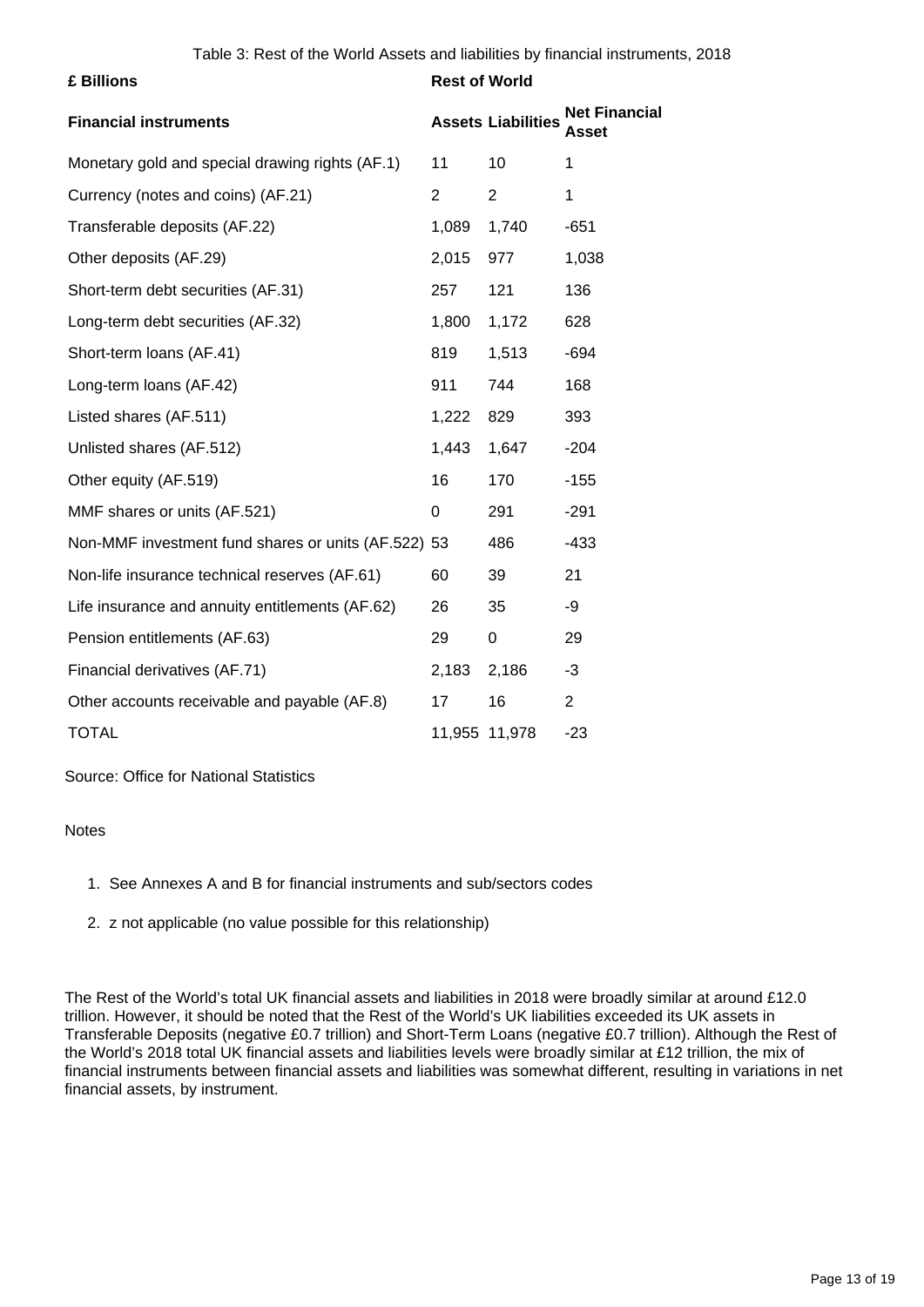| £ Billions                                          | <b>Rest of World</b> |                           |                               |
|-----------------------------------------------------|----------------------|---------------------------|-------------------------------|
| <b>Financial instruments</b>                        |                      | <b>Assets Liabilities</b> | <b>Net Financial</b><br>Asset |
| Monetary gold and special drawing rights (AF.1)     | 11                   | 10                        | 1                             |
| Currency (notes and coins) (AF.21)                  | $\overline{2}$       | $\overline{2}$            | 1                             |
| Transferable deposits (AF.22)                       | 1,089                | 1,740                     | $-651$                        |
| Other deposits (AF.29)                              | 2,015                | 977                       | 1,038                         |
| Short-term debt securities (AF.31)                  | 257                  | 121                       | 136                           |
| Long-term debt securities (AF.32)                   | 1,800                | 1,172                     | 628                           |
| Short-term loans (AF.41)                            | 819                  | 1,513                     | $-694$                        |
| Long-term loans (AF.42)                             | 911                  | 744                       | 168                           |
| Listed shares (AF.511)                              | 1,222                | 829                       | 393                           |
| Unlisted shares (AF.512)                            | 1,443                | 1,647                     | $-204$                        |
| Other equity (AF.519)                               | 16                   | 170                       | $-155$                        |
| MMF shares or units (AF.521)                        | 0                    | 291                       | $-291$                        |
| Non-MMF investment fund shares or units (AF.522) 53 |                      | 486                       | $-433$                        |
| Non-life insurance technical reserves (AF.61)       | 60                   | 39                        | 21                            |
| Life insurance and annuity entitlements (AF.62)     | 26                   | 35                        | -9                            |
| Pension entitlements (AF.63)                        | 29                   | 0                         | 29                            |
| Financial derivatives (AF.71)                       | 2,183                | 2,186                     | -3                            |
| Other accounts receivable and payable (AF.8)        | 17                   | 16                        | $\overline{2}$                |
| <b>TOTAL</b>                                        | 11,955 11,978        |                           | $-23$                         |

Source: Office for National Statistics

#### **Notes**

- 1. See Annexes A and B for financial instruments and sub/sectors codes
- 2. z not applicable (no value possible for this relationship)

The Rest of the World's total UK financial assets and liabilities in 2018 were broadly similar at around £12.0 trillion. However, it should be noted that the Rest of the World's UK liabilities exceeded its UK assets in Transferable Deposits (negative £0.7 trillion) and Short-Term Loans (negative £0.7 trillion). Although the Rest of the World's 2018 total UK financial assets and liabilities levels were broadly similar at £12 trillion, the mix of financial instruments between financial assets and liabilities was somewhat different, resulting in variations in net financial assets, by instrument.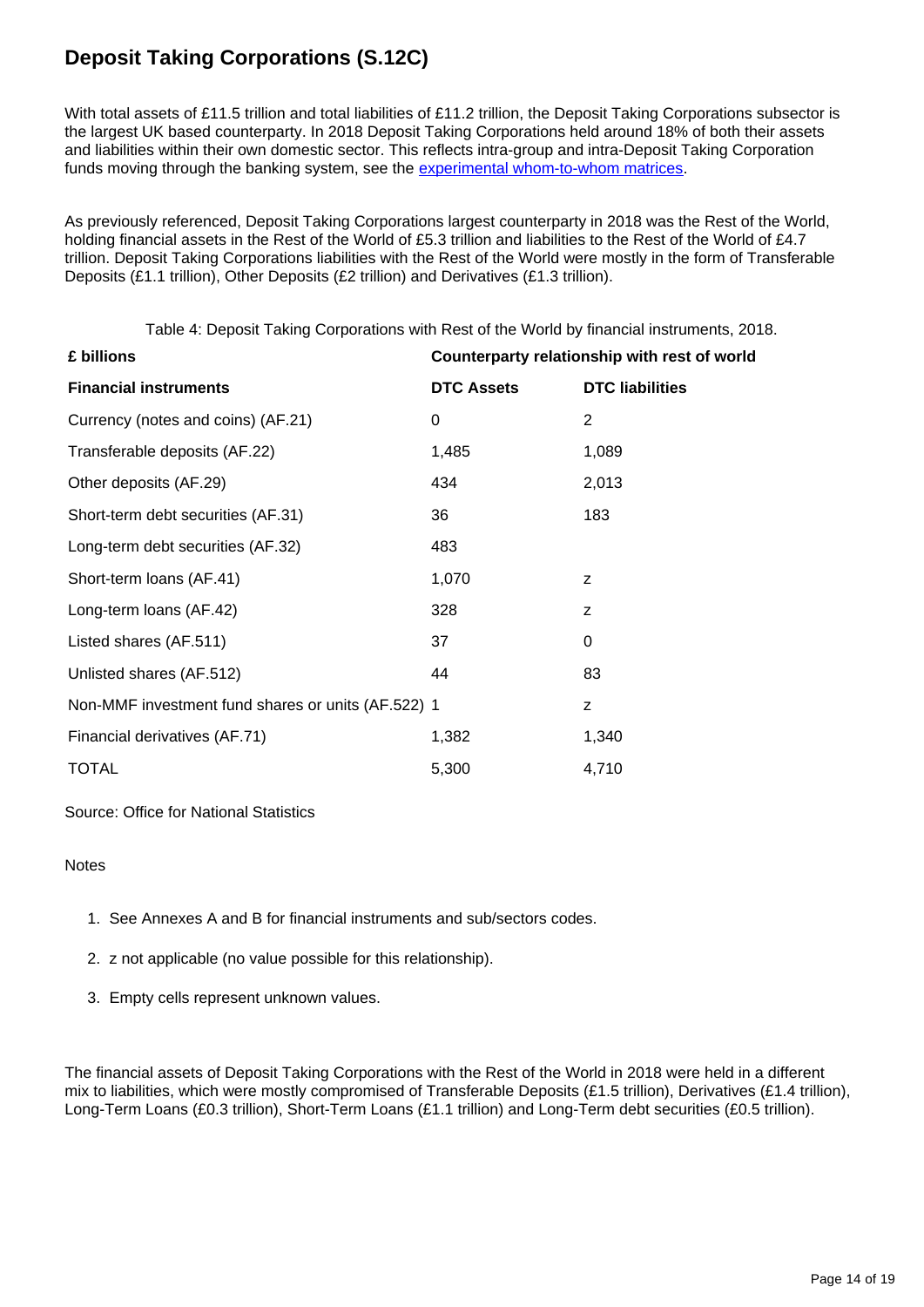## **Deposit Taking Corporations (S.12C)**

With total assets of £11.5 trillion and total liabilities of £11.2 trillion, the Deposit Taking Corporations subsector is the largest UK based counterparty. In 2018 Deposit Taking Corporations held around 18% of both their assets and liabilities within their own domestic sector. This reflects intra-group and intra-Deposit Taking Corporation funds moving through the banking system, see the [experimental whom-to-whom matrices](https://www.ons.gov.uk/economy/nationalaccounts/uksectoraccounts/datasets/ukfinancialaccountsexperimentalstatisticsflowoffundsmatricesdatatables).

As previously referenced, Deposit Taking Corporations largest counterparty in 2018 was the Rest of the World, holding financial assets in the Rest of the World of £5.3 trillion and liabilities to the Rest of the World of £4.7 trillion. Deposit Taking Corporations liabilities with the Rest of the World were mostly in the form of Transferable Deposits (£1.1 trillion), Other Deposits (£2 trillion) and Derivatives (£1.3 trillion).

Table 4: Deposit Taking Corporations with Rest of the World by financial instruments, 2018.

| £ billions                                         | Counterparty relationship with rest of world |                        |
|----------------------------------------------------|----------------------------------------------|------------------------|
| <b>Financial instruments</b>                       | <b>DTC Assets</b>                            | <b>DTC</b> liabilities |
| Currency (notes and coins) (AF.21)                 | 0                                            | 2                      |
| Transferable deposits (AF.22)                      | 1,485                                        | 1,089                  |
| Other deposits (AF.29)                             | 434                                          | 2,013                  |
| Short-term debt securities (AF.31)                 | 36                                           | 183                    |
| Long-term debt securities (AF.32)                  | 483                                          |                        |
| Short-term loans (AF.41)                           | 1,070                                        | z                      |
| Long-term loans (AF.42)                            | 328                                          | z                      |
| Listed shares (AF.511)                             | 37                                           | 0                      |
| Unlisted shares (AF.512)                           | 44                                           | 83                     |
| Non-MMF investment fund shares or units (AF.522) 1 |                                              | z                      |
| Financial derivatives (AF.71)                      | 1,382                                        | 1,340                  |
| <b>TOTAL</b>                                       | 5,300                                        | 4,710                  |

Source: Office for National Statistics

#### **Notes**

- 1. See Annexes A and B for financial instruments and sub/sectors codes.
- 2. z not applicable (no value possible for this relationship).
- 3. Empty cells represent unknown values.

The financial assets of Deposit Taking Corporations with the Rest of the World in 2018 were held in a different mix to liabilities, which were mostly compromised of Transferable Deposits (£1.5 trillion), Derivatives (£1.4 trillion), Long-Term Loans (£0.3 trillion), Short-Term Loans (£1.1 trillion) and Long-Term debt securities (£0.5 trillion).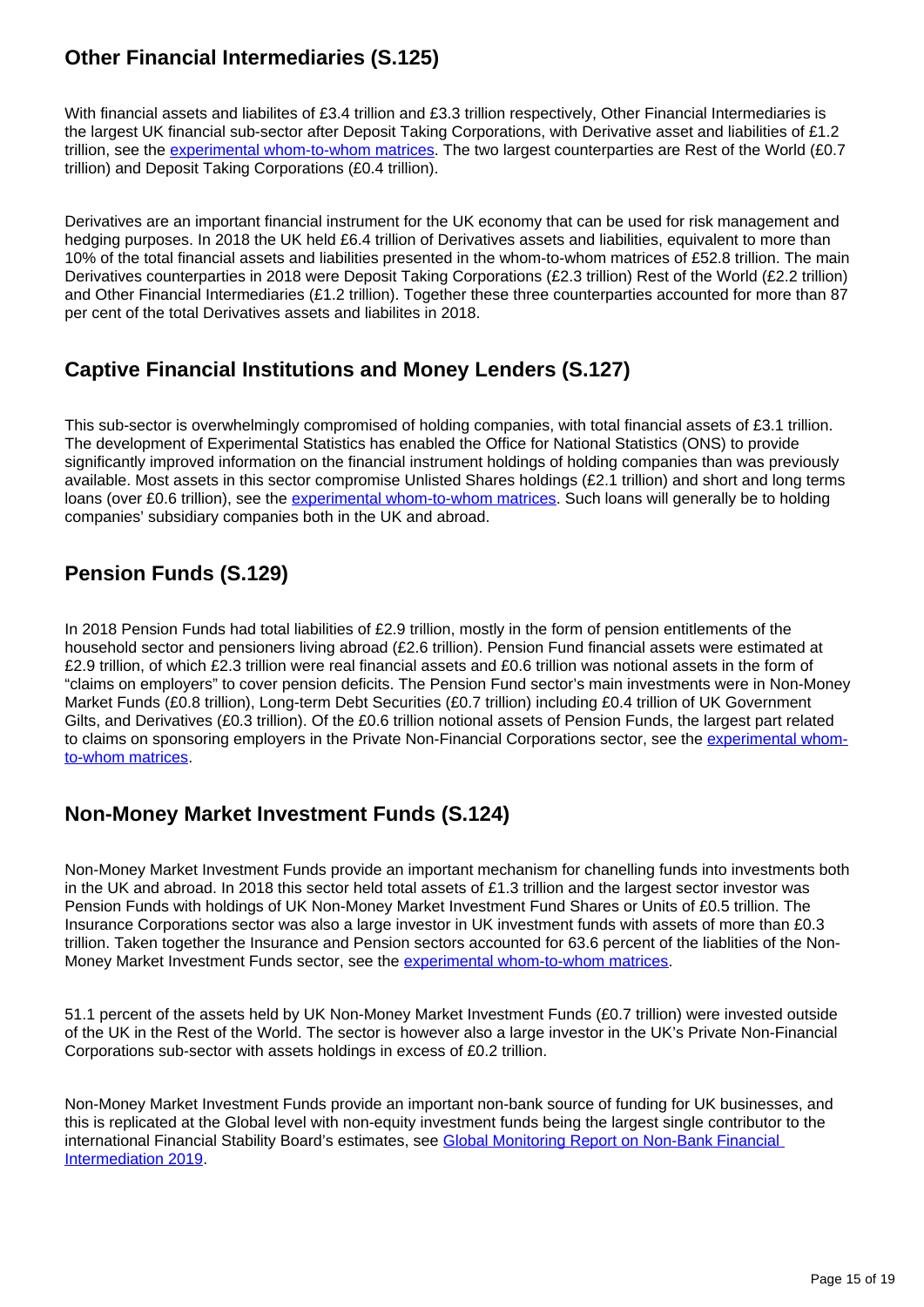## **Other Financial Intermediaries (S.125)**

With financial assets and liabilites of £3.4 trillion and £3.3 trillion respectively. Other Financial Intermediaries is the largest UK financial sub-sector after Deposit Taking Corporations, with Derivative asset and liabilities of £1.2 trillion, see the [experimental whom-to-whom matrices](https://www.ons.gov.uk/economy/nationalaccounts/uksectoraccounts/datasets/ukfinancialaccountsexperimentalstatisticsflowoffundsmatricesdatatables). The two largest counterparties are Rest of the World (£0.7 trillion) and Deposit Taking Corporations (£0.4 trillion).

Derivatives are an important financial instrument for the UK economy that can be used for risk management and hedging purposes. In 2018 the UK held £6.4 trillion of Derivatives assets and liabilities, equivalent to more than 10% of the total financial assets and liabilities presented in the whom-to-whom matrices of £52.8 trillion. The main Derivatives counterparties in 2018 were Deposit Taking Corporations (£2.3 trillion) Rest of the World (£2.2 trillion) and Other Financial Intermediaries (£1.2 trillion). Together these three counterparties accounted for more than 87 per cent of the total Derivatives assets and liabilites in 2018.

#### **Captive Financial Institutions and Money Lenders (S.127)**

This sub-sector is overwhelmingly compromised of holding companies, with total financial assets of £3.1 trillion. The development of Experimental Statistics has enabled the Office for National Statistics (ONS) to provide significantly improved information on the financial instrument holdings of holding companies than was previously available. Most assets in this sector compromise Unlisted Shares holdings (£2.1 trillion) and short and long terms loans (over £0.6 trillion), see the [experimental whom-to-whom matrices.](https://www.ons.gov.uk/economy/nationalaccounts/uksectoraccounts/datasets/ukfinancialaccountsexperimentalstatisticsflowoffundsmatricesdatatables) Such loans will generally be to holding companies' subsidiary companies both in the UK and abroad.

## **Pension Funds (S.129)**

In 2018 Pension Funds had total liabilities of £2.9 trillion, mostly in the form of pension entitlements of the household sector and pensioners living abroad (£2.6 trillion). Pension Fund financial assets were estimated at £2.9 trillion, of which £2.3 trillion were real financial assets and £0.6 trillion was notional assets in the form of "claims on employers" to cover pension deficits. The Pension Fund sector's main investments were in Non-Money Market Funds (£0.8 trillion), Long-term Debt Securities (£0.7 trillion) including £0.4 trillion of UK Government Gilts, and Derivatives (£0.3 trillion). Of the £0.6 trillion notional assets of Pension Funds, the largest part related to claims on sponsoring employers in the Private Non-Financial Corporations sector, see the [experimental whom](https://www.ons.gov.uk/economy/nationalaccounts/uksectoraccounts/datasets/ukfinancialaccountsexperimentalstatisticsflowoffundsmatricesdatatables)[to-whom matrices](https://www.ons.gov.uk/economy/nationalaccounts/uksectoraccounts/datasets/ukfinancialaccountsexperimentalstatisticsflowoffundsmatricesdatatables).

### **Non-Money Market Investment Funds (S.124)**

Non-Money Market Investment Funds provide an important mechanism for chanelling funds into investments both in the UK and abroad. In 2018 this sector held total assets of £1.3 trillion and the largest sector investor was Pension Funds with holdings of UK Non-Money Market Investment Fund Shares or Units of £0.5 trillion. The Insurance Corporations sector was also a large investor in UK investment funds with assets of more than £0.3 trillion. Taken together the Insurance and Pension sectors accounted for 63.6 percent of the liablities of the Non-Money Market Investment Funds sector, see the [experimental whom-to-whom matrices.](https://www.ons.gov.uk/economy/nationalaccounts/uksectoraccounts/datasets/ukfinancialaccountsexperimentalstatisticsflowoffundsmatricesdatatables)

51.1 percent of the assets held by UK Non-Money Market Investment Funds (£0.7 trillion) were invested outside of the UK in the Rest of the World. The sector is however also a large investor in the UK's Private Non-Financial Corporations sub-sector with assets holdings in excess of £0.2 trillion.

Non-Money Market Investment Funds provide an important non-bank source of funding for UK businesses, and this is replicated at the Global level with non-equity investment funds being the largest single contributor to the international Financial Stability Board's estimates, see [Global Monitoring Report on Non-Bank Financial](https://www.fsb.org/2020/01/global-monitoring-report-on-non-bank-financial-intermediation-2019/)  [Intermediation 2019](https://www.fsb.org/2020/01/global-monitoring-report-on-non-bank-financial-intermediation-2019/).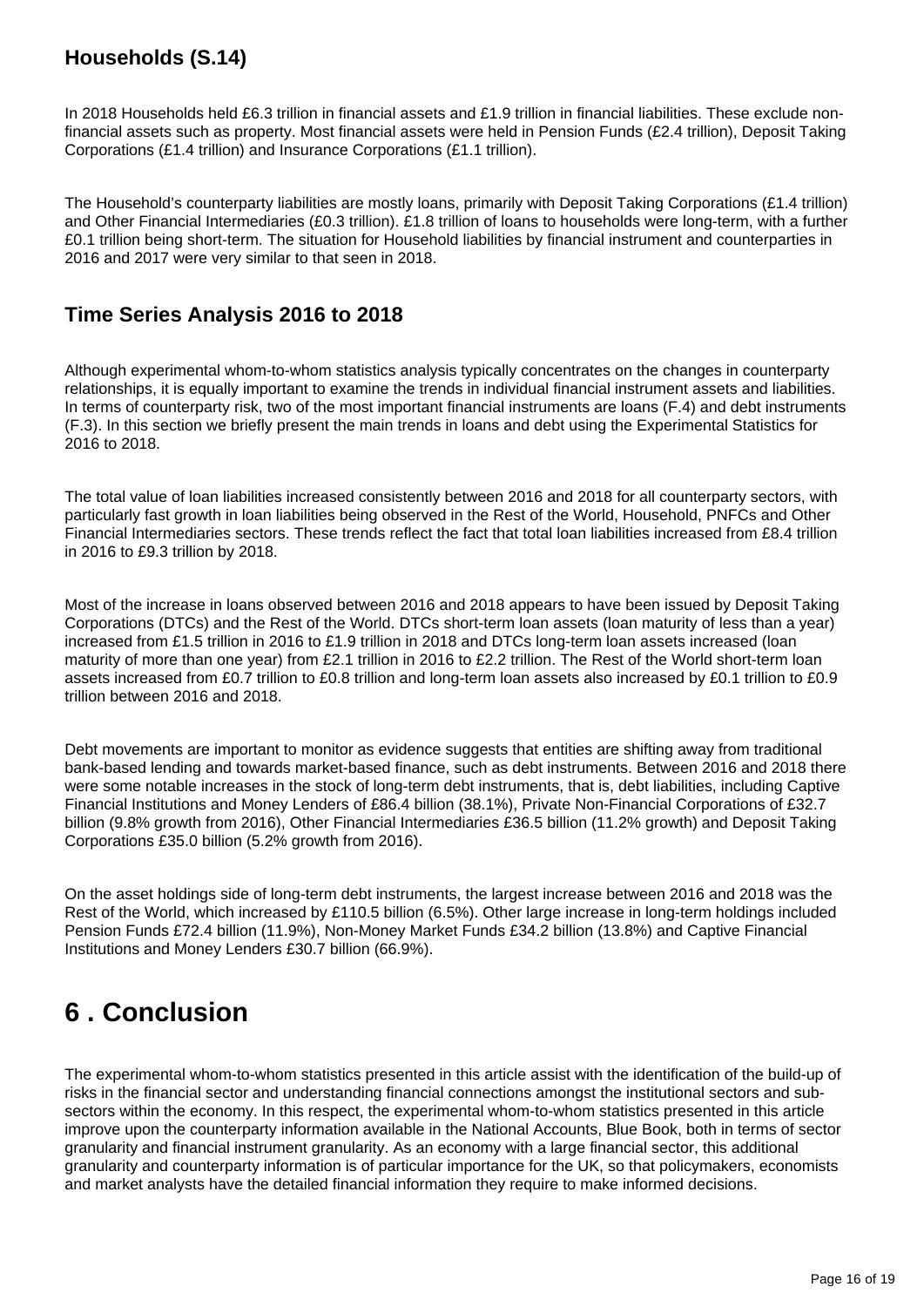### **Households (S.14)**

In 2018 Households held £6.3 trillion in financial assets and £1.9 trillion in financial liabilities. These exclude nonfinancial assets such as property. Most financial assets were held in Pension Funds (£2.4 trillion), Deposit Taking Corporations (£1.4 trillion) and Insurance Corporations (£1.1 trillion).

The Household's counterparty liabilities are mostly loans, primarily with Deposit Taking Corporations (£1.4 trillion) and Other Financial Intermediaries (£0.3 trillion). £1.8 trillion of loans to households were long-term, with a further £0.1 trillion being short-term. The situation for Household liabilities by financial instrument and counterparties in 2016 and 2017 were very similar to that seen in 2018.

#### **Time Series Analysis 2016 to 2018**

Although experimental whom-to-whom statistics analysis typically concentrates on the changes in counterparty relationships, it is equally important to examine the trends in individual financial instrument assets and liabilities. In terms of counterparty risk, two of the most important financial instruments are loans (F.4) and debt instruments (F.3). In this section we briefly present the main trends in loans and debt using the Experimental Statistics for 2016 to 2018.

The total value of loan liabilities increased consistently between 2016 and 2018 for all counterparty sectors, with particularly fast growth in loan liabilities being observed in the Rest of the World, Household, PNFCs and Other Financial Intermediaries sectors. These trends reflect the fact that total loan liabilities increased from £8.4 trillion in 2016 to £9.3 trillion by 2018.

Most of the increase in loans observed between 2016 and 2018 appears to have been issued by Deposit Taking Corporations (DTCs) and the Rest of the World. DTCs short-term loan assets (loan maturity of less than a year) increased from £1.5 trillion in 2016 to £1.9 trillion in 2018 and DTCs long-term loan assets increased (loan maturity of more than one year) from £2.1 trillion in 2016 to £2.2 trillion. The Rest of the World short-term loan assets increased from £0.7 trillion to £0.8 trillion and long-term loan assets also increased by £0.1 trillion to £0.9 trillion between 2016 and 2018.

Debt movements are important to monitor as evidence suggests that entities are shifting away from traditional bank-based lending and towards market-based finance, such as debt instruments. Between 2016 and 2018 there were some notable increases in the stock of long-term debt instruments, that is, debt liabilities, including Captive Financial Institutions and Money Lenders of £86.4 billion (38.1%), Private Non-Financial Corporations of £32.7 billion (9.8% growth from 2016), Other Financial Intermediaries £36.5 billion (11.2% growth) and Deposit Taking Corporations £35.0 billion (5.2% growth from 2016).

On the asset holdings side of long-term debt instruments, the largest increase between 2016 and 2018 was the Rest of the World, which increased by £110.5 billion (6.5%). Other large increase in long-term holdings included Pension Funds £72.4 billion (11.9%), Non-Money Market Funds £34.2 billion (13.8%) and Captive Financial Institutions and Money Lenders £30.7 billion (66.9%).

# <span id="page-15-0"></span>**6 . Conclusion**

The experimental whom-to-whom statistics presented in this article assist with the identification of the build-up of risks in the financial sector and understanding financial connections amongst the institutional sectors and subsectors within the economy. In this respect, the experimental whom-to-whom statistics presented in this article improve upon the counterparty information available in the National Accounts, Blue Book, both in terms of sector granularity and financial instrument granularity. As an economy with a large financial sector, this additional granularity and counterparty information is of particular importance for the UK, so that policymakers, economists and market analysts have the detailed financial information they require to make informed decisions.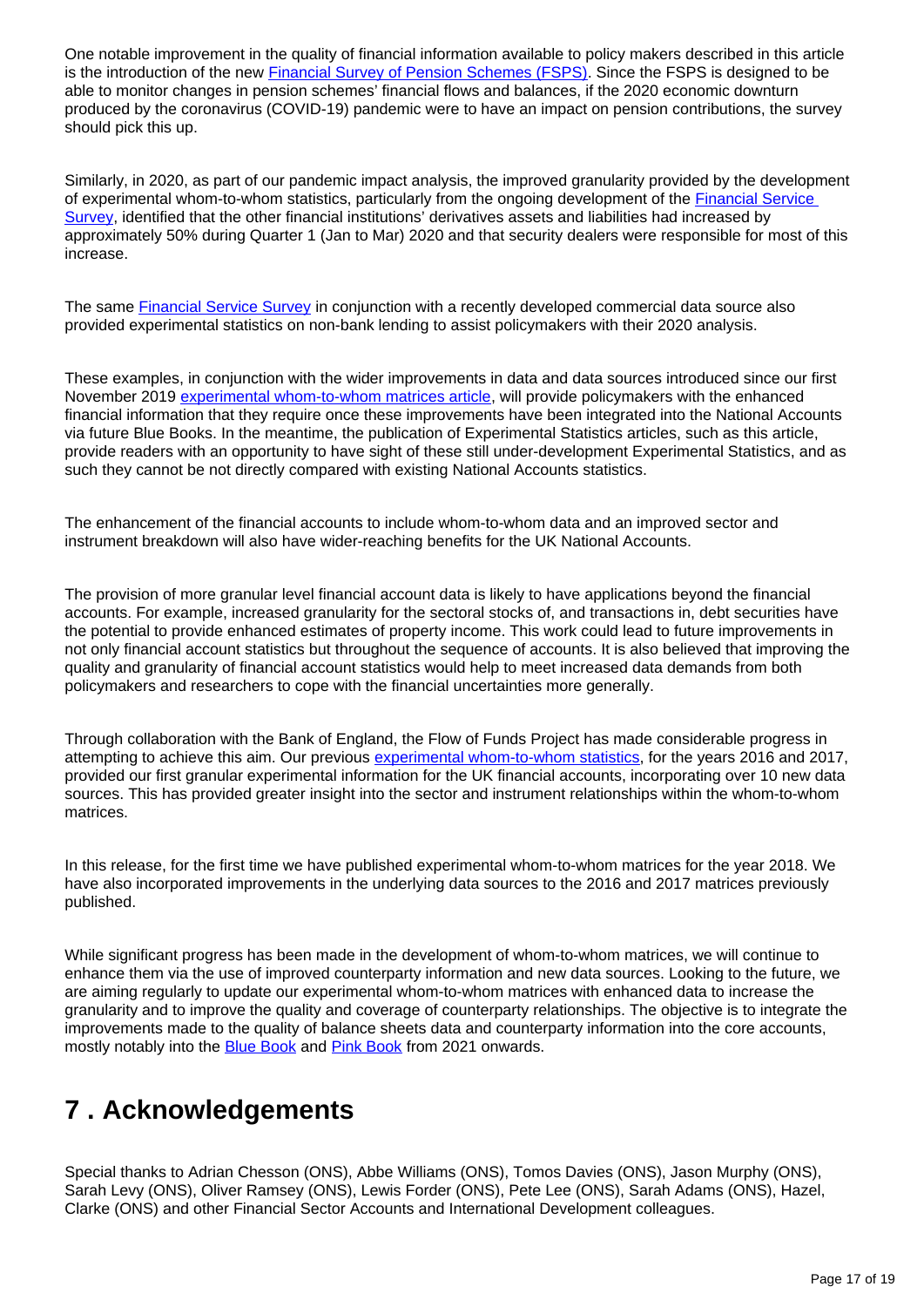One notable improvement in the quality of financial information available to policy makers described in this article is the introduction of the new **Financial Survey of Pension Schemes (FSPS)**. Since the FSPS is designed to be able to monitor changes in pension schemes' financial flows and balances, if the 2020 economic downturn produced by the coronavirus (COVID-19) pandemic were to have an impact on pension contributions, the survey should pick this up.

Similarly, in 2020, as part of our pandemic impact analysis, the improved granularity provided by the development of experimental whom-to-whom statistics, particularly from the ongoing development of the [Financial Service](https://www.ons.gov.uk/economy/nationalaccounts/uksectoraccounts/articles/quarterlyreturnofassetsandliabilitiesfinancialservicessurvey266/latest)  [Survey](https://www.ons.gov.uk/economy/nationalaccounts/uksectoraccounts/articles/quarterlyreturnofassetsandliabilitiesfinancialservicessurvey266/latest), identified that the other financial institutions' derivatives assets and liabilities had increased by approximately 50% during Quarter 1 (Jan to Mar) 2020 and that security dealers were responsible for most of this increase.

The same **Financial Service Survey** in conjunction with a recently developed commercial data source also provided experimental statistics on non-bank lending to assist policymakers with their 2020 analysis.

These examples, in conjunction with the wider improvements in data and data sources introduced since our first November 2019 [experimental whom-to-whom matrices article,](https://www.ons.gov.uk/economy/nationalaccounts/uksectoraccounts/articles/ukfinancialaccountsexperimentalstatisticsflowoffundsmatrices/2019) will provide policymakers with the enhanced financial information that they require once these improvements have been integrated into the National Accounts via future Blue Books. In the meantime, the publication of Experimental Statistics articles, such as this article, provide readers with an opportunity to have sight of these still under-development Experimental Statistics, and as such they cannot be not directly compared with existing National Accounts statistics.

The enhancement of the financial accounts to include whom-to-whom data and an improved sector and instrument breakdown will also have wider-reaching benefits for the UK National Accounts.

The provision of more granular level financial account data is likely to have applications beyond the financial accounts. For example, increased granularity for the sectoral stocks of, and transactions in, debt securities have the potential to provide enhanced estimates of property income. This work could lead to future improvements in not only financial account statistics but throughout the sequence of accounts. It is also believed that improving the quality and granularity of financial account statistics would help to meet increased data demands from both policymakers and researchers to cope with the financial uncertainties more generally.

Through collaboration with the Bank of England, the Flow of Funds Project has made considerable progress in attempting to achieve this aim. Our previous [experimental whom-to-whom statistics](https://www.ons.gov.uk/economy/nationalaccounts/uksectoraccounts/articles/ukfinancialaccountsexperimentalstatisticsflowoffundsmatrices/2019), for the years 2016 and 2017, provided our first granular experimental information for the UK financial accounts, incorporating over 10 new data sources. This has provided greater insight into the sector and instrument relationships within the whom-to-whom matrices.

In this release, for the first time we have published experimental whom-to-whom matrices for the year 2018. We have also incorporated improvements in the underlying data sources to the 2016 and 2017 matrices previously published.

While significant progress has been made in the development of whom-to-whom matrices, we will continue to enhance them via the use of improved counterparty information and new data sources. Looking to the future, we are aiming regularly to update our experimental whom-to-whom matrices with enhanced data to increase the granularity and to improve the quality and coverage of counterparty relationships. The objective is to integrate the improvements made to the quality of balance sheets data and counterparty information into the core accounts, mostly notably into the **[Blue Book](https://www.ons.gov.uk/economy/grossdomesticproductgdp/datasets/bluebook)** and **[Pink Book](https://www.ons.gov.uk/releases/ukbalanceofpaymentsthepinkbook2020)** from 2021 onwards.

# <span id="page-16-0"></span>**7 . Acknowledgements**

Special thanks to Adrian Chesson (ONS), Abbe Williams (ONS), Tomos Davies (ONS), Jason Murphy (ONS), Sarah Levy (ONS), Oliver Ramsey (ONS), Lewis Forder (ONS), Pete Lee (ONS), Sarah Adams (ONS), Hazel, Clarke (ONS) and other Financial Sector Accounts and International Development colleagues.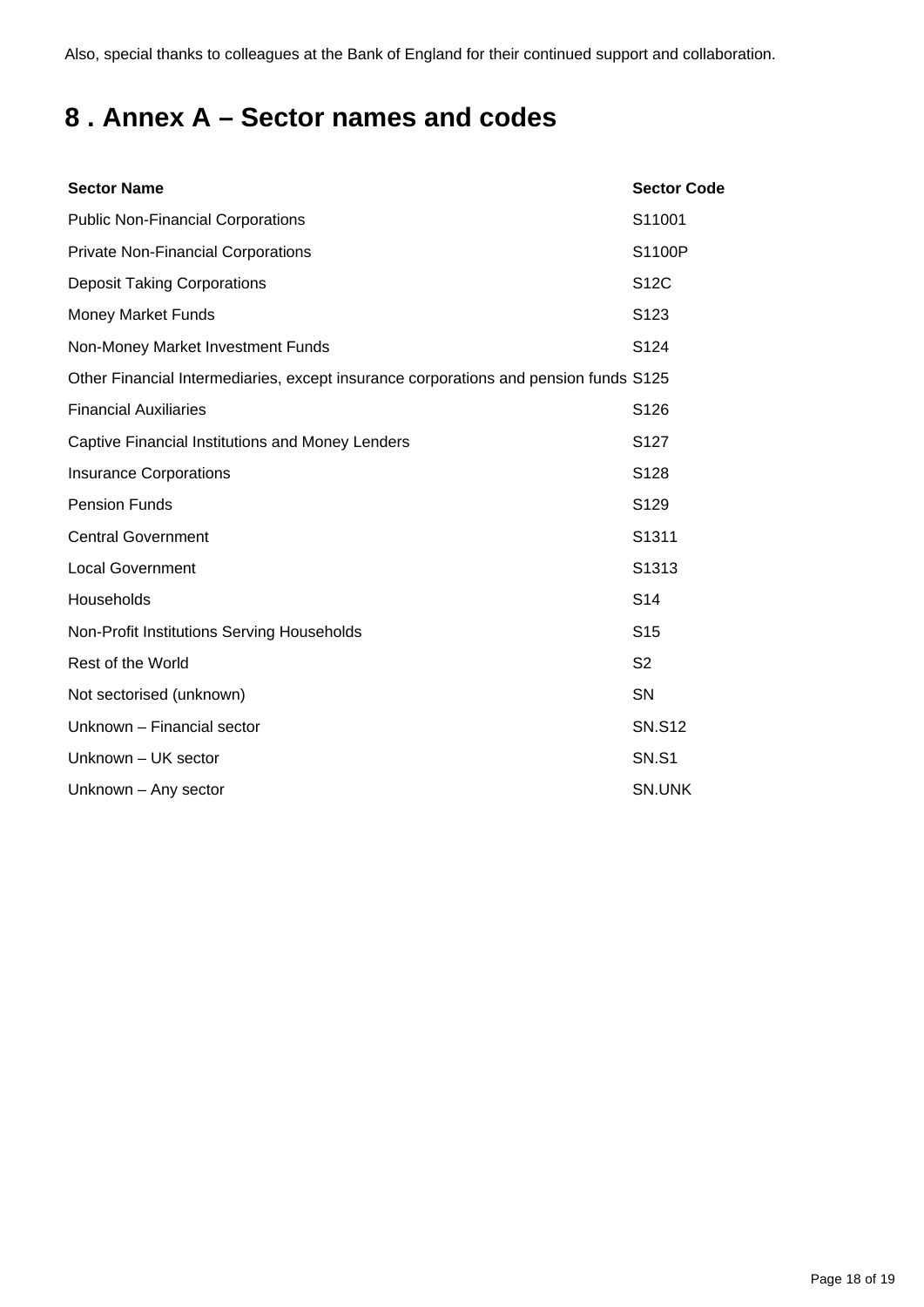Also, special thanks to colleagues at the Bank of England for their continued support and collaboration.

# <span id="page-17-0"></span>**8 . Annex A – Sector names and codes**

| <b>Sector Name</b>                                                                   | <b>Sector Code</b> |
|--------------------------------------------------------------------------------------|--------------------|
| <b>Public Non-Financial Corporations</b>                                             | S11001             |
| <b>Private Non-Financial Corporations</b>                                            | S1100P             |
| <b>Deposit Taking Corporations</b>                                                   | <b>S12C</b>        |
| <b>Money Market Funds</b>                                                            | S <sub>123</sub>   |
| Non-Money Market Investment Funds                                                    | S <sub>124</sub>   |
| Other Financial Intermediaries, except insurance corporations and pension funds S125 |                    |
| <b>Financial Auxiliaries</b>                                                         | S126               |
| Captive Financial Institutions and Money Lenders                                     | S <sub>127</sub>   |
| <b>Insurance Corporations</b>                                                        | S128               |
| <b>Pension Funds</b>                                                                 | S129               |
| <b>Central Government</b>                                                            | S <sub>1311</sub>  |
| <b>Local Government</b>                                                              | S1313              |
| Households                                                                           | S <sub>14</sub>    |
| Non-Profit Institutions Serving Households                                           | S <sub>15</sub>    |
| Rest of the World                                                                    | S <sub>2</sub>     |
| Not sectorised (unknown)                                                             | SN                 |
| Unknown - Financial sector                                                           | <b>SN.S12</b>      |
| Unknown - UK sector                                                                  | <b>SN.S1</b>       |
| Unknown - Any sector                                                                 | SN.UNK             |